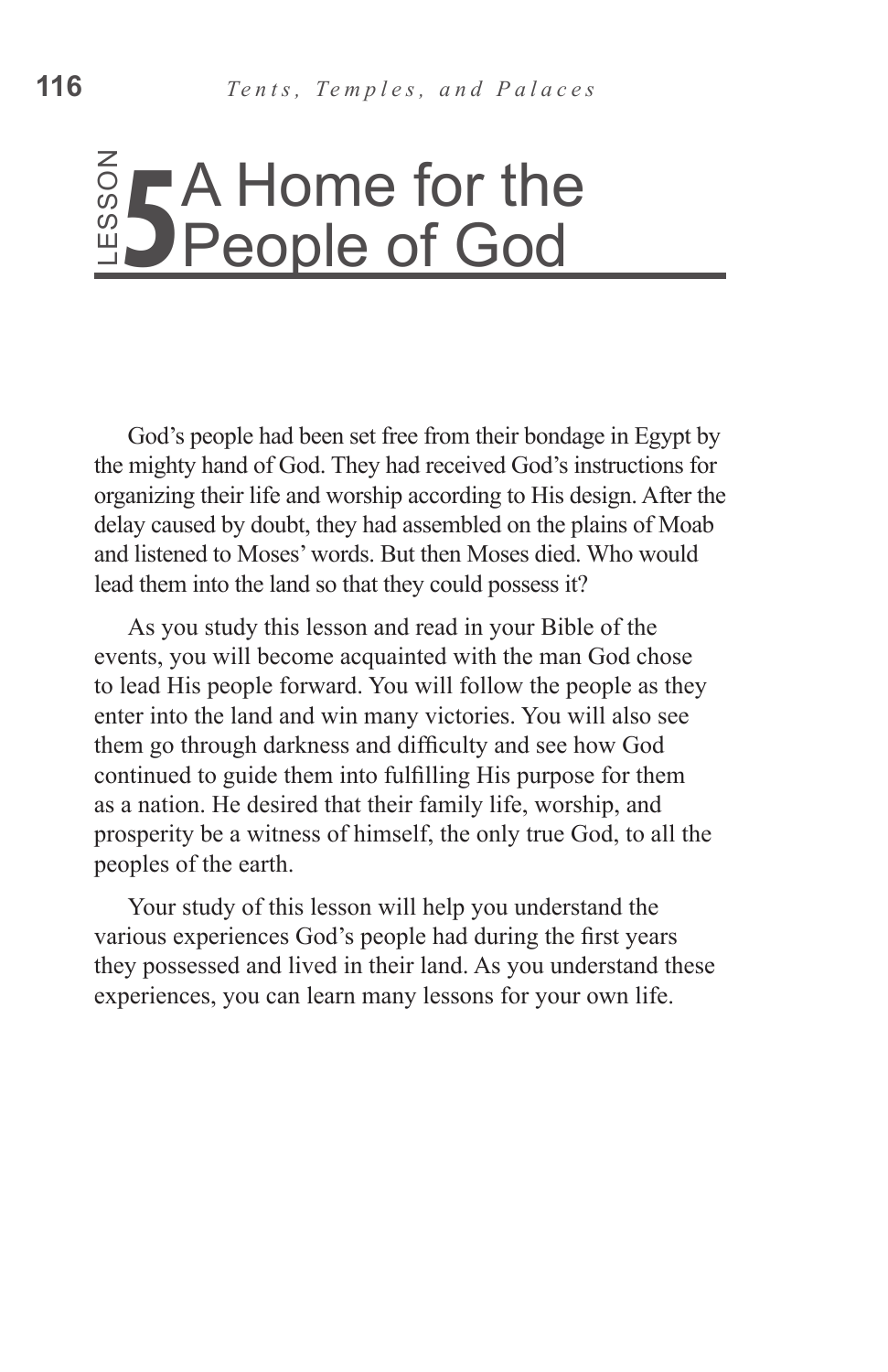# People of God

God's people had been set free from their bondage in Egypt by the mighty hand of God. They had received God's instructions for organizing their life and worship according to His design. After the delay caused by doubt, they had assembled on the plains of Moab and listened to Moses' words. But then Moses died. Who would lead them into the land so that they could possess it?

As you study this lesson and read in your Bible of the events, you will become acquainted with the man God chose to lead His people forward. You will follow the people as they enter into the land and win many victories. You will also see them go through darkness and difficulty and see how God continued to guide them into fulfilling His purpose for them as a nation. He desired that their family life, worship, and prosperity be a witness of himself, the only true God, to all the peoples of the earth. **Experience Source Source Source Source Source Source Source Source Source Source Source Source Source Source Source Source Source Source Source Source Source Source Source Source Source Source Source Source Source Source** 

Your study of this lesson will help you understand the various experiences God's people had during the first years they possessed and lived in their land. As you understand these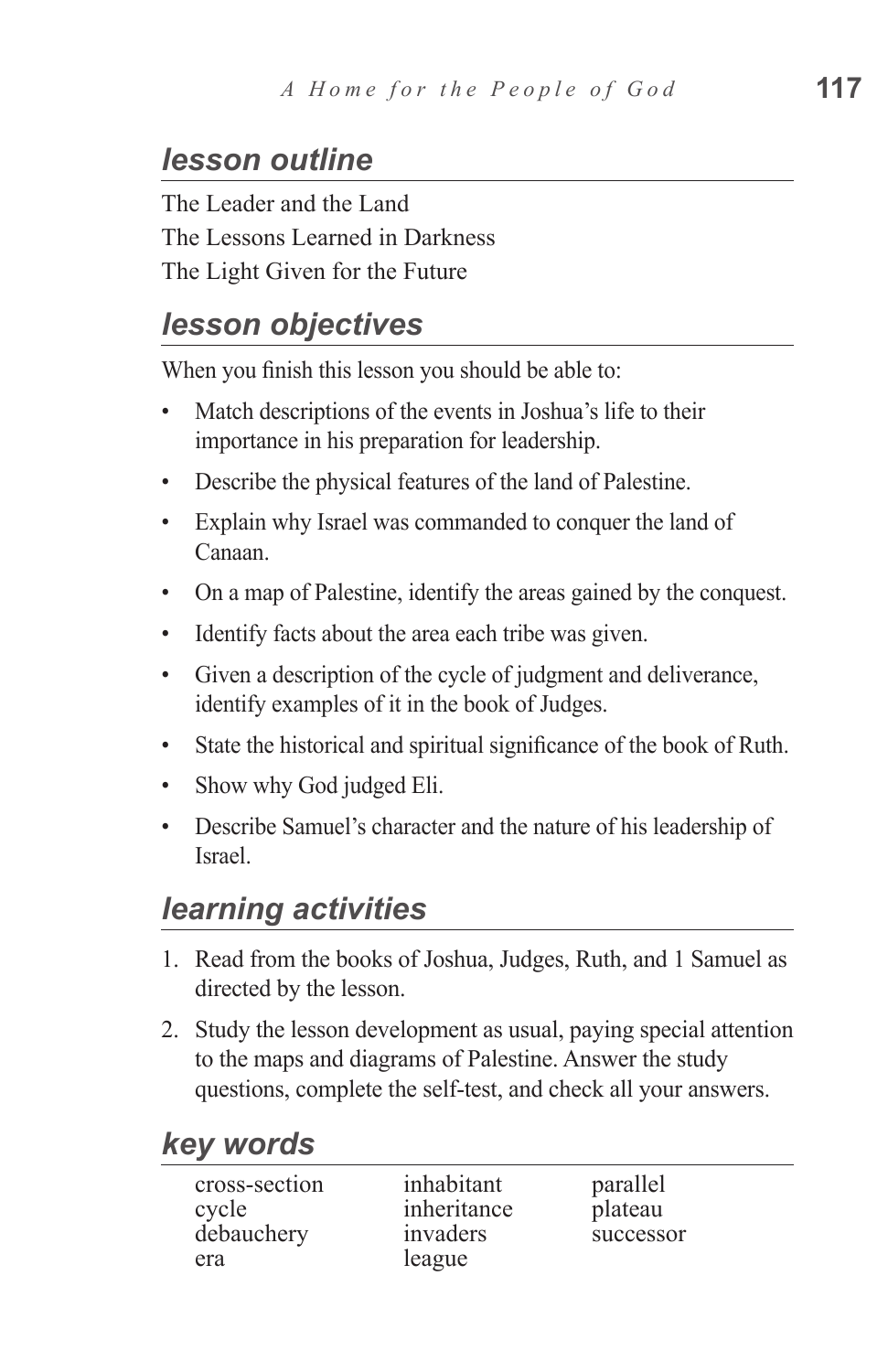## *lesson outline*

The Leader and the Land The Lessons Learned in Darkness The Light Given for the Future

#### *lesson objectives*

When you finish this lesson you should be able to:

- Match descriptions of the events in Joshua's life to their importance in his preparation for leadership.
- Describe the physical features of the land of Palestine.
- Explain why Israel was commanded to conquer the land of Canaan.
- On a map of Palestine, identify the areas gained by the conquest.
- Identify facts about the area each tribe was given.
- Given a description of the cycle of judgment and deliverance, identify examples of it in the book of Judges.
- State the historical and spiritual significance of the book of Ruth.
- Show why God judged Eli.
- Describe Samuel's character and the nature of his leadership of Israel.

## *learning activities*

- 1. Read from the books of Joshua, Judges, Ruth, and 1 Samuel as directed by the lesson.
- 2. Study the lesson development as usual, paying special attention to the maps and diagrams of Palestine. Answer the study questions, complete the self-test, and check all your answers.

#### *key words*

| cross-section | inhabitant  | parallel  |
|---------------|-------------|-----------|
| cycle         | inheritance | plateau   |
| debauchery    | invaders    | successor |
| era           | league      |           |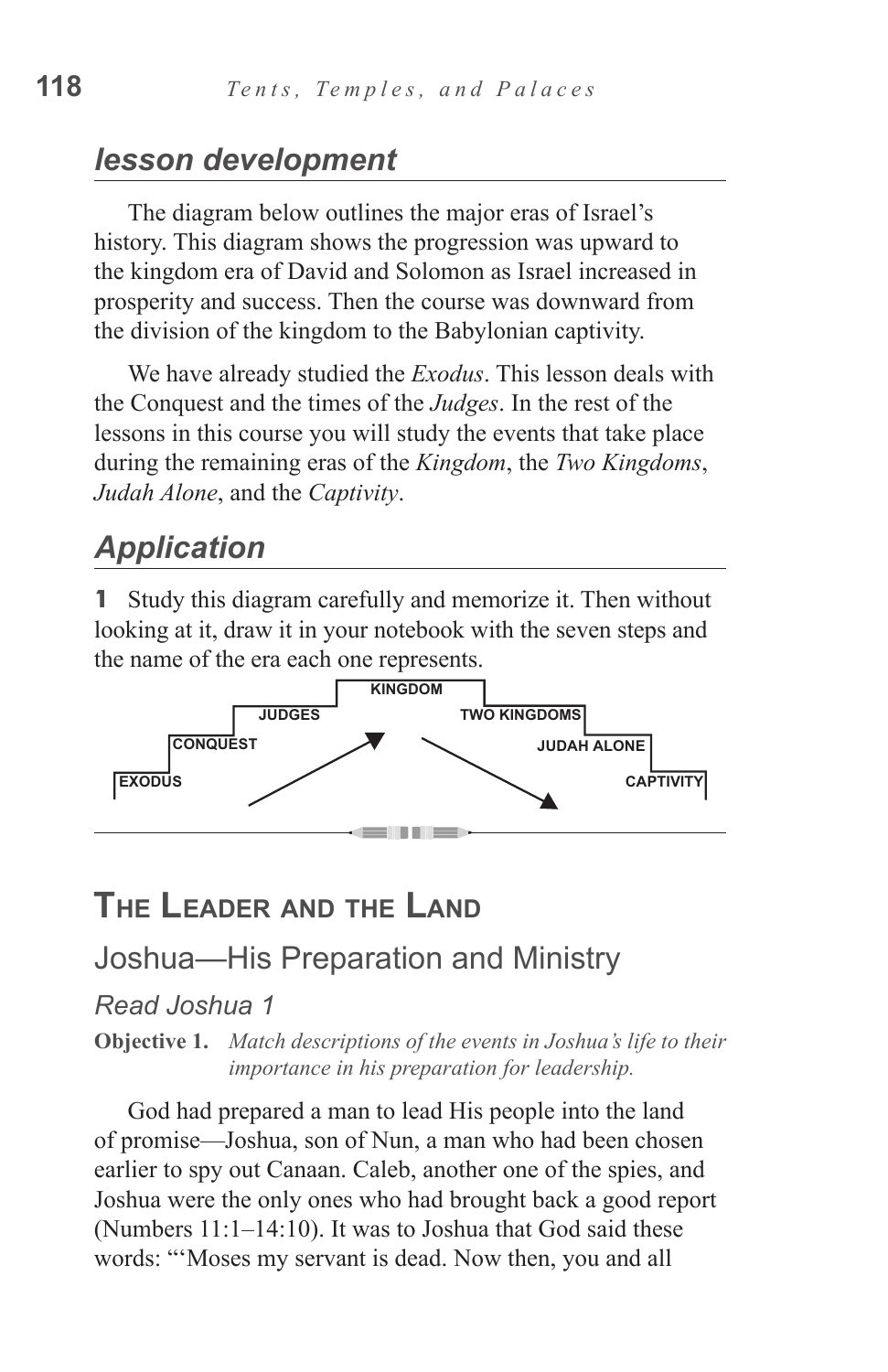#### *lesson development*

The diagram below outlines the major eras of Israel's history. This diagram shows the progression was upward to the kingdom era of David and Solomon as Israel increased in prosperity and success. Then the course was downward from the division of the kingdom to the Babylonian captivity.

We have already studied the *Exodus*. This lesson deals with the Conquest and the times of the *Judges*. In the rest of the lessons in this course you will study the events that take place during the remaining eras of the *Kingdom*, the *Two Kingdoms*, *Judah Alone*, and the *Captivity*.

# *Application*

**1** Study this diagram carefully and memorize it. Then without looking at it, draw it in your notebook with the seven steps and the name of the era each one represents.



## **The Leader and the Land**

#### Joshua—His Preparation and Ministry

#### *Read Joshua 1*

**Objective 1.** *Match descriptions of the events in Joshua's life to their importance in his preparation for leadership.*

God had prepared a man to lead His people into the land of promise—Joshua, son of Nun, a man who had been chosen earlier to spy out Canaan. Caleb, another one of the spies, and Joshua were the only ones who had brought back a good report (Numbers 11:1–14:10). It was to Joshua that God said these words: "'Moses my servant is dead. Now then, you and all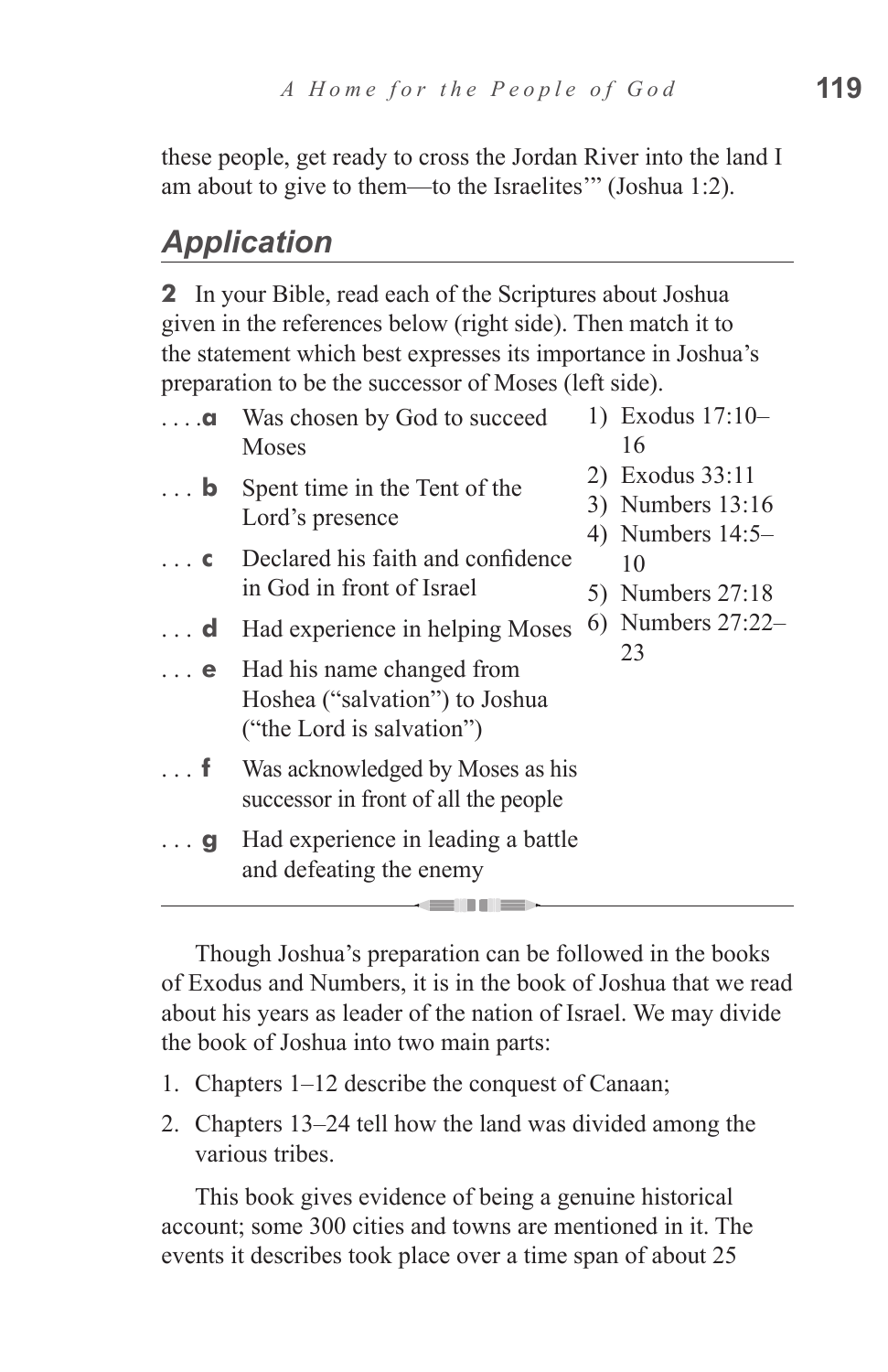these people, get ready to cross the Jordan River into the land I am about to give to them—to the Israelites'" (Joshua 1:2).

## *Application*

**2** In your Bible, read each of the Scriptures about Joshua given in the references below (right side). Then match it to the statement which best expresses its importance in Joshua's preparation to be the successor of Moses (left side).

| $\ldots$ a | Was chosen by God to succeed<br>Moses                                                               | 1) Exodus 17:10-<br>16                                    |
|------------|-----------------------------------------------------------------------------------------------------|-----------------------------------------------------------|
| $\ldots$ b | Spent time in the Tent of the<br>Lord's presence                                                    | 2) Exodus 33:11<br>3) Numbers 13:16<br>4) Numbers $14:5-$ |
| $\ldots$ C | Declared his faith and confidence<br>in God in front of Israel                                      | 10<br>5) Numbers 27:18                                    |
| $\ldots$ d | Had experience in helping Moses                                                                     | 6) Numbers $27:22-$                                       |
|            | $\ldots$ e Had his name changed from<br>Hoshea ("salvation") to Joshua<br>("the Lord is salvation") | 23                                                        |
| . f        | Was acknowledged by Moses as his<br>successor in front of all the people                            |                                                           |
| $\ldots$ g | Had experience in leading a battle<br>and defeating the enemy                                       |                                                           |
|            |                                                                                                     |                                                           |

Though Joshua's preparation can be followed in the books of Exodus and Numbers, it is in the book of Joshua that we read about his years as leader of the nation of Israel. We may divide the book of Joshua into two main parts:

- 1. Chapters 1–12 describe the conquest of Canaan;
- 2. Chapters 13–24 tell how the land was divided among the various tribes.

This book gives evidence of being a genuine historical account; some 300 cities and towns are mentioned in it. The events it describes took place over a time span of about 25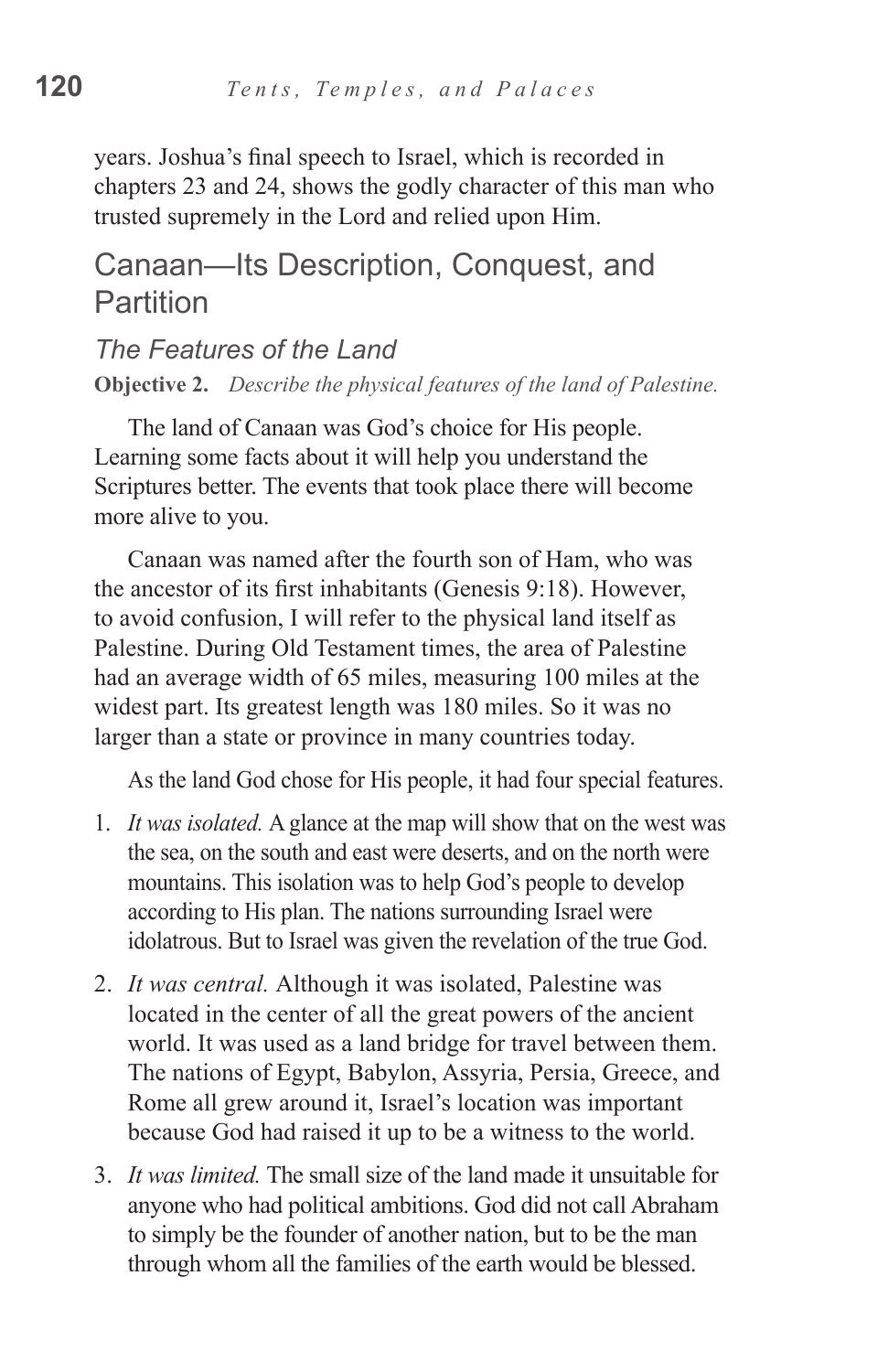years. Joshua's final speech to Israel, which is recorded in chapters 23 and 24, shows the godly character of this man who trusted supremely in the Lord and relied upon Him.

#### Canaan—Its Description, Conquest, and Partition

# *The Features of the Land*

**Objective 2.** *Describe the physical features of the land of Palestine.*

The land of Canaan was God's choice for His people. Learning some facts about it will help you understand the Scriptures better. The events that took place there will become more alive to you.

Canaan was named after the fourth son of Ham, who was the ancestor of its first inhabitants (Genesis 9:18). However, to avoid confusion, I will refer to the physical land itself as Palestine. During Old Testament times, the area of Palestine had an average width of 65 miles, measuring 100 miles at the widest part. Its greatest length was 180 miles. So it was no larger than a state or province in many countries today.

As the land God chose for His people, it had four special features.

- 1. *It was isolated.* A glance at the map will show that on the west was the sea, on the south and east were deserts, and on the north were mountains. This isolation was to help God's people to develop according to His plan. The nations surrounding Israel were idolatrous. But to Israel was given the revelation of the true God.
- 2. *It was central.* Although it was isolated, Palestine was located in the center of all the great powers of the ancient world. It was used as a land bridge for travel between them. The nations of Egypt, Babylon, Assyria, Persia, Greece, and Rome all grew around it, Israel's location was important because God had raised it up to be a witness to the world.
- 3. *It was limited.* The small size of the land made it unsuitable for anyone who had political ambitions. God did not call Abraham to simply be the founder of another nation, but to be the man through whom all the families of the earth would be blessed.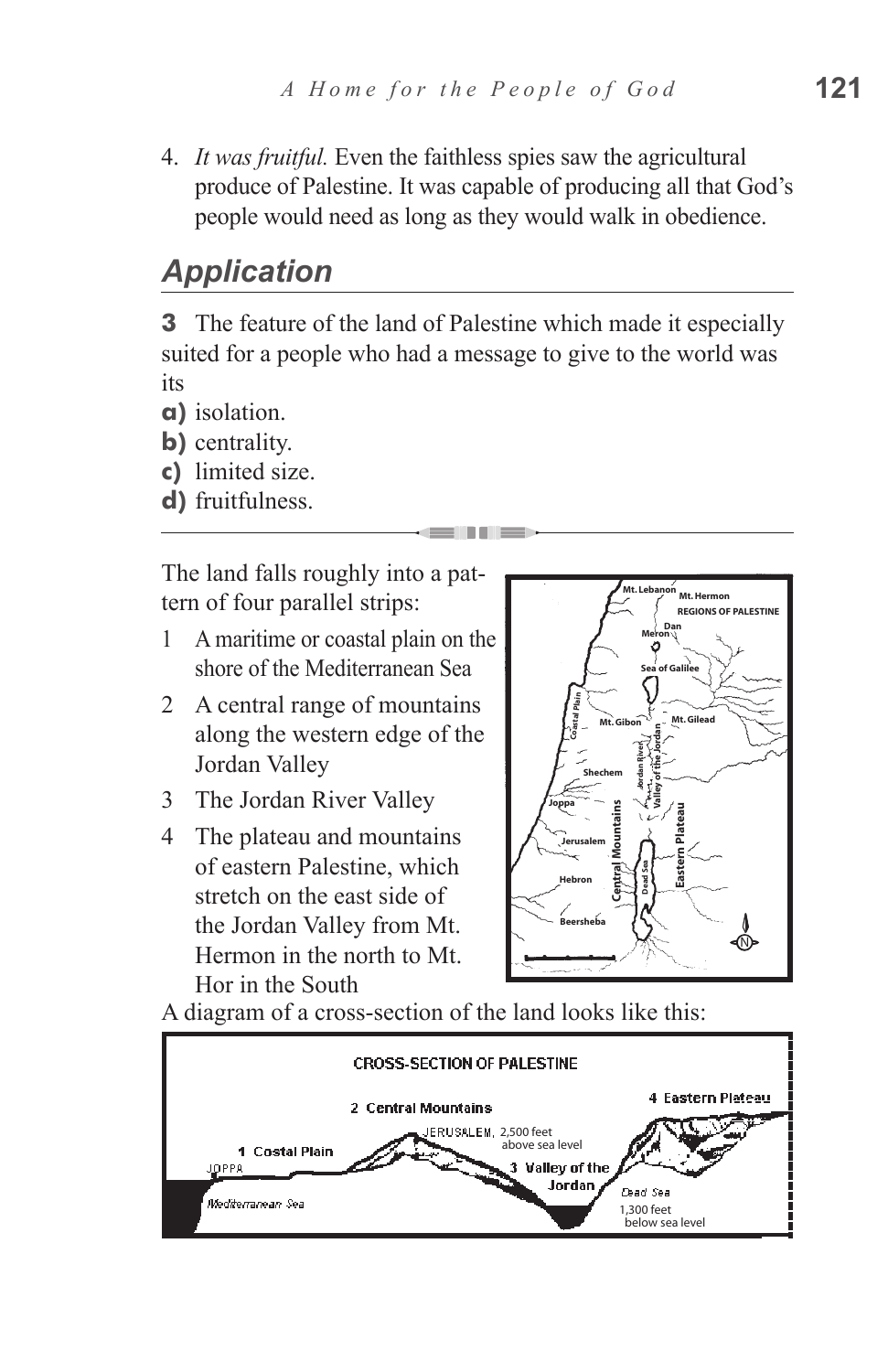4. *It was fruitful.* Even the faithless spies saw the agricultural produce of Palestine. It was capable of producing all that God's people would need as long as they would walk in obedience.

## *Application*

**3** The feature of the land of Palestine which made it especially suited for a people who had a message to give to the world was its

- **a)** isolation.
- **b)** centrality.
- **c)** limited size.
- **d)** fruitfulness.

The land falls roughly into a pattern of four parallel strips:

- 1 A maritime or coastal plain on the shore of the Mediterranean Sea
- 2 A central range of mountains along the western edge of the Jordan Valley
- 3 The Jordan River Valley
- 4 The plateau and mountains of eastern Palestine, which stretch on the east side of the Jordan Valley from Mt. Hermon in the north to Mt. Hor in the South



A diagram of a cross-section of the land looks like this:

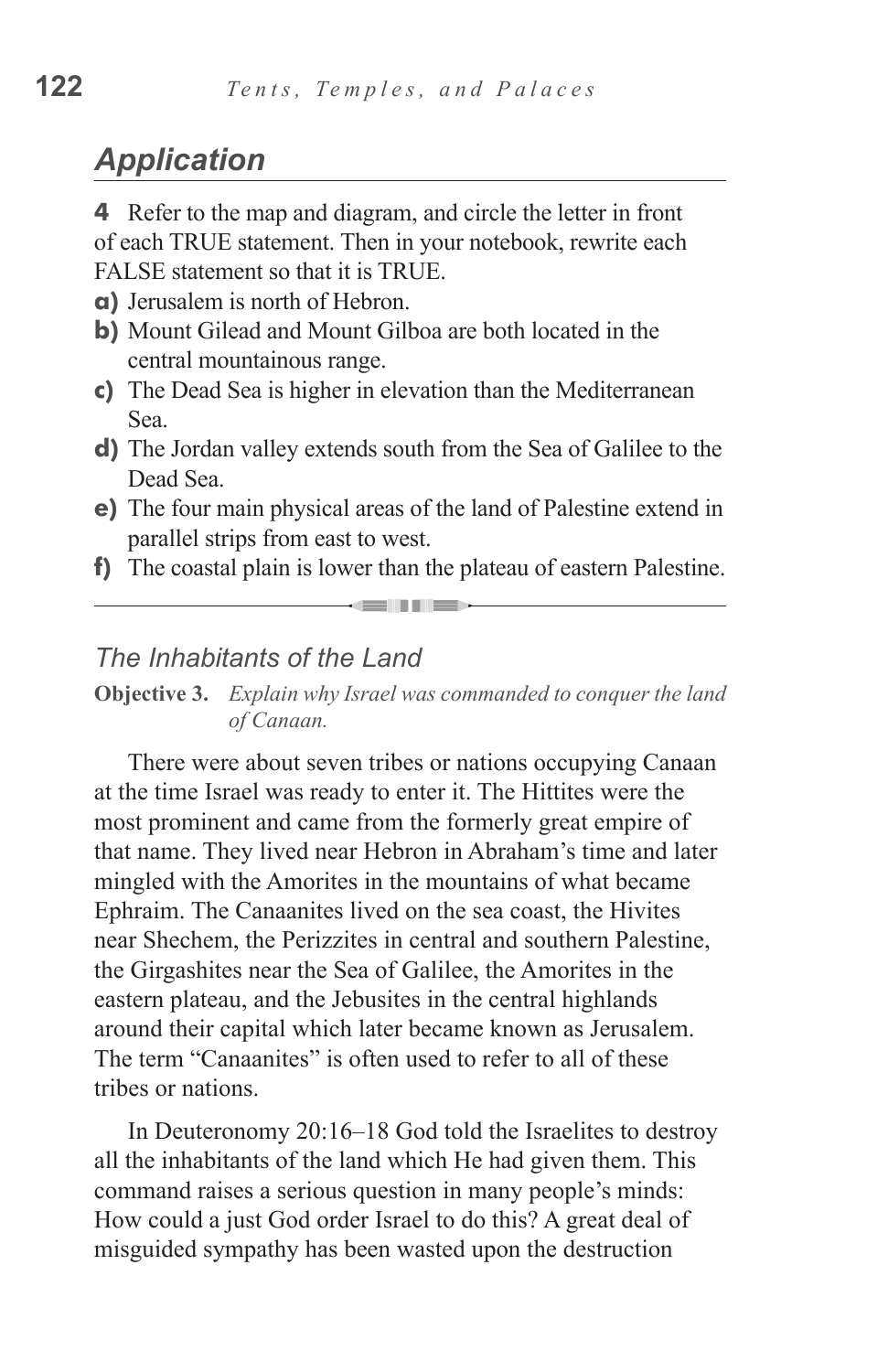## *Application*

**4** Refer to the map and diagram, and circle the letter in front of each TRUE statement. Then in your notebook, rewrite each FALSE statement so that it is TRUE.

- **a)** Jerusalem is north of Hebron.
- **b)** Mount Gilead and Mount Gilboa are both located in the central mountainous range.
- **c)** The Dead Sea is higher in elevation than the Mediterranean Sea.
- **d)** The Jordan valley extends south from the Sea of Galilee to the Dead Sea.
- **e)** The four main physical areas of the land of Palestine extend in parallel strips from east to west.
- **f)** The coastal plain is lower than the plateau of eastern Palestine.  $\rightarrow$

#### *The Inhabitants of the Land*

**Objective 3.** *Explain why Israel was commanded to conquer the land of Canaan.*

There were about seven tribes or nations occupying Canaan at the time Israel was ready to enter it. The Hittites were the most prominent and came from the formerly great empire of that name. They lived near Hebron in Abraham's time and later mingled with the Amorites in the mountains of what became Ephraim. The Canaanites lived on the sea coast, the Hivites near Shechem, the Perizzites in central and southern Palestine, the Girgashites near the Sea of Galilee, the Amorites in the eastern plateau, and the Jebusites in the central highlands around their capital which later became known as Jerusalem. The term "Canaanites" is often used to refer to all of these tribes or nations.

In Deuteronomy 20:16–18 God told the Israelites to destroy all the inhabitants of the land which He had given them. This command raises a serious question in many people's minds: How could a just God order Israel to do this? A great deal of misguided sympathy has been wasted upon the destruction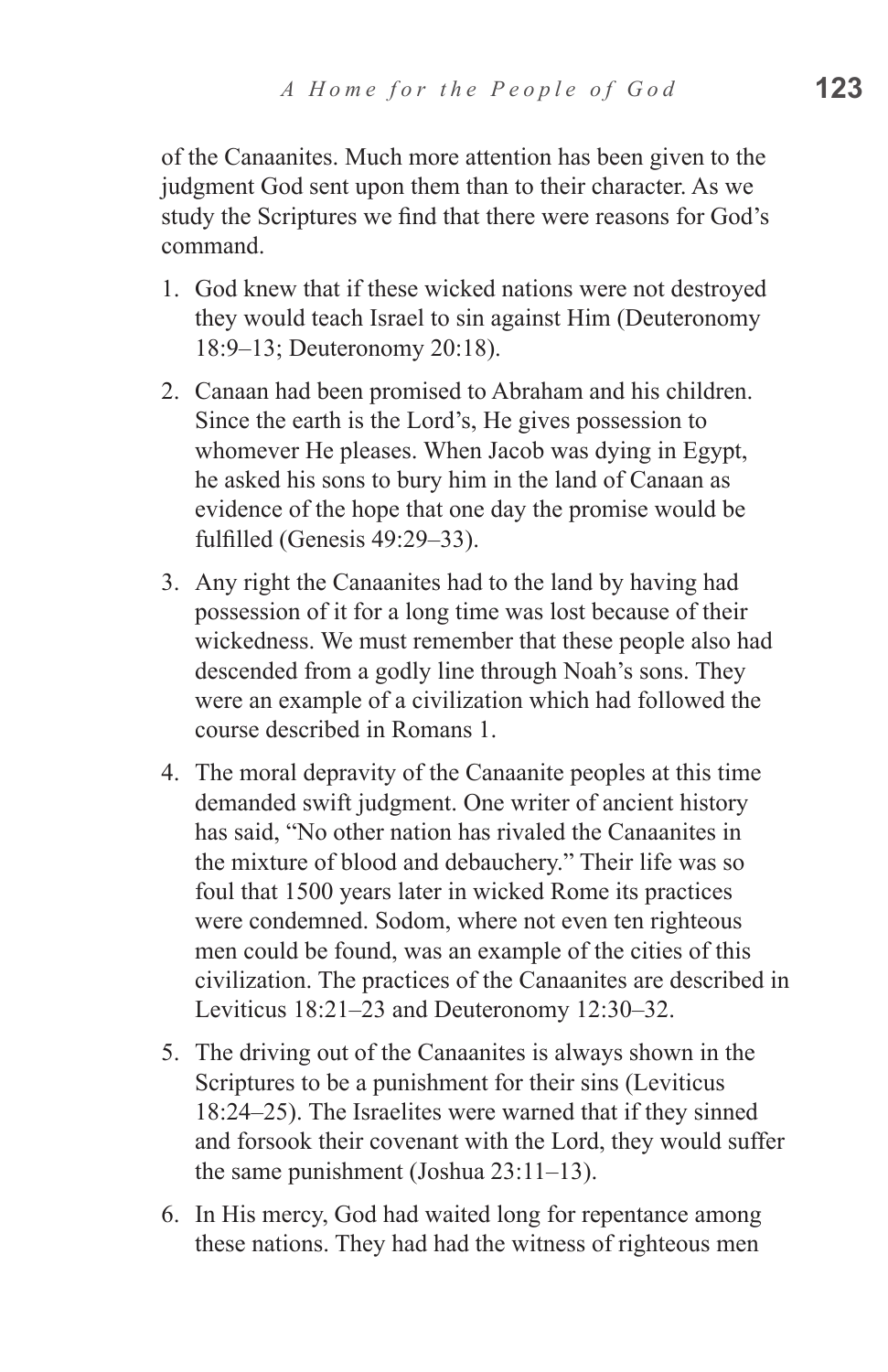of the Canaanites. Much more attention has been given to the judgment God sent upon them than to their character. As we study the Scriptures we find that there were reasons for God's command.

- 1. God knew that if these wicked nations were not destroyed they would teach Israel to sin against Him (Deuteronomy 18:9–13; Deuteronomy 20:18).
- 2. Canaan had been promised to Abraham and his children. Since the earth is the Lord's, He gives possession to whomever He pleases. When Jacob was dying in Egypt, he asked his sons to bury him in the land of Canaan as evidence of the hope that one day the promise would be fulfilled (Genesis 49:29–33).
- 3. Any right the Canaanites had to the land by having had possession of it for a long time was lost because of their wickedness. We must remember that these people also had descended from a godly line through Noah's sons. They were an example of a civilization which had followed the course described in Romans 1.
- 4. The moral depravity of the Canaanite peoples at this time demanded swift judgment. One writer of ancient history has said, "No other nation has rivaled the Canaanites in the mixture of blood and debauchery." Their life was so foul that 1500 years later in wicked Rome its practices were condemned. Sodom, where not even ten righteous men could be found, was an example of the cities of this civilization. The practices of the Canaanites are described in Leviticus 18:21–23 and Deuteronomy 12:30–32.
- 5. The driving out of the Canaanites is always shown in the Scriptures to be a punishment for their sins (Leviticus 18:24–25). The Israelites were warned that if they sinned and forsook their covenant with the Lord, they would suffer the same punishment (Joshua 23:11–13).
- 6. In His mercy, God had waited long for repentance among these nations. They had had the witness of righteous men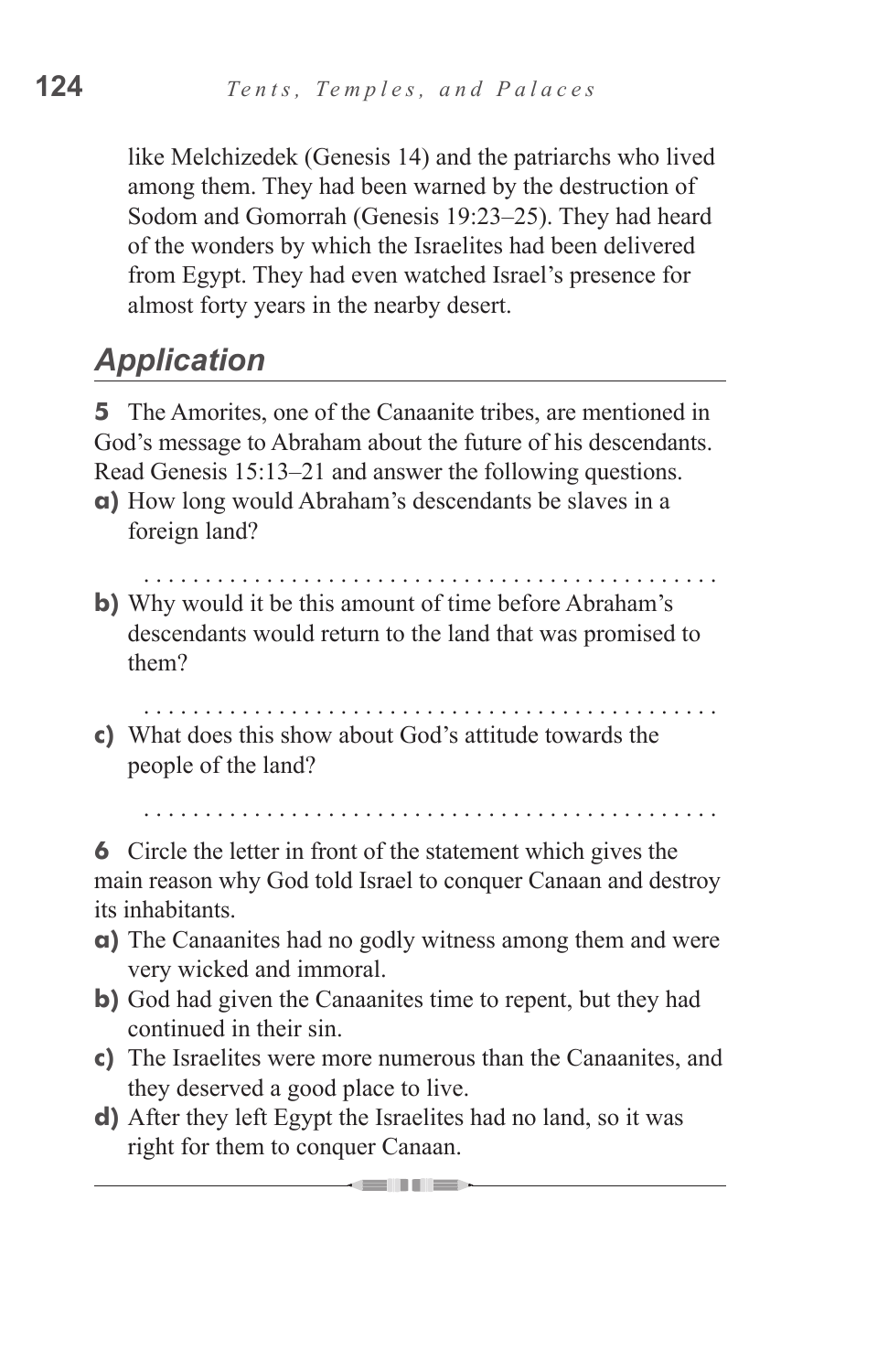like Melchizedek (Genesis 14) and the patriarchs who lived among them. They had been warned by the destruction of Sodom and Gomorrah (Genesis 19:23–25). They had heard of the wonders by which the Israelites had been delivered from Egypt. They had even watched Israel's presence for almost forty years in the nearby desert.

# *Application*

**5** The Amorites, one of the Canaanite tribes, are mentioned in God's message to Abraham about the future of his descendants. Read Genesis 15:13–21 and answer the following questions.

- **a)** How long would Abraham's descendants be slaves in a foreign land?
- **b)** Why would it be this amount of time before Abraham's descendants would return to the land that was promised to them?
- **c)** What does this show about God's attitude towards the people of the land?

**6** Circle the letter in front of the statement which gives the main reason why God told Israel to conquer Canaan and destroy its inhabitants.

- **a)** The Canaanites had no godly witness among them and were very wicked and immoral.
- **b)** God had given the Canaanites time to repent, but they had continued in their sin.
- **c)** The Israelites were more numerous than the Canaanites, and they deserved a good place to live.
- **d)** After they left Egypt the Israelites had no land, so it was right for them to conquer Canaan.

— 1999 - 1999 - 1999 - 1999 - 1999 - 1999 - 1999 - 1999 - 1999 - 1999 - 1999 - 1999 - 1999 - 1999 - 1999 - 199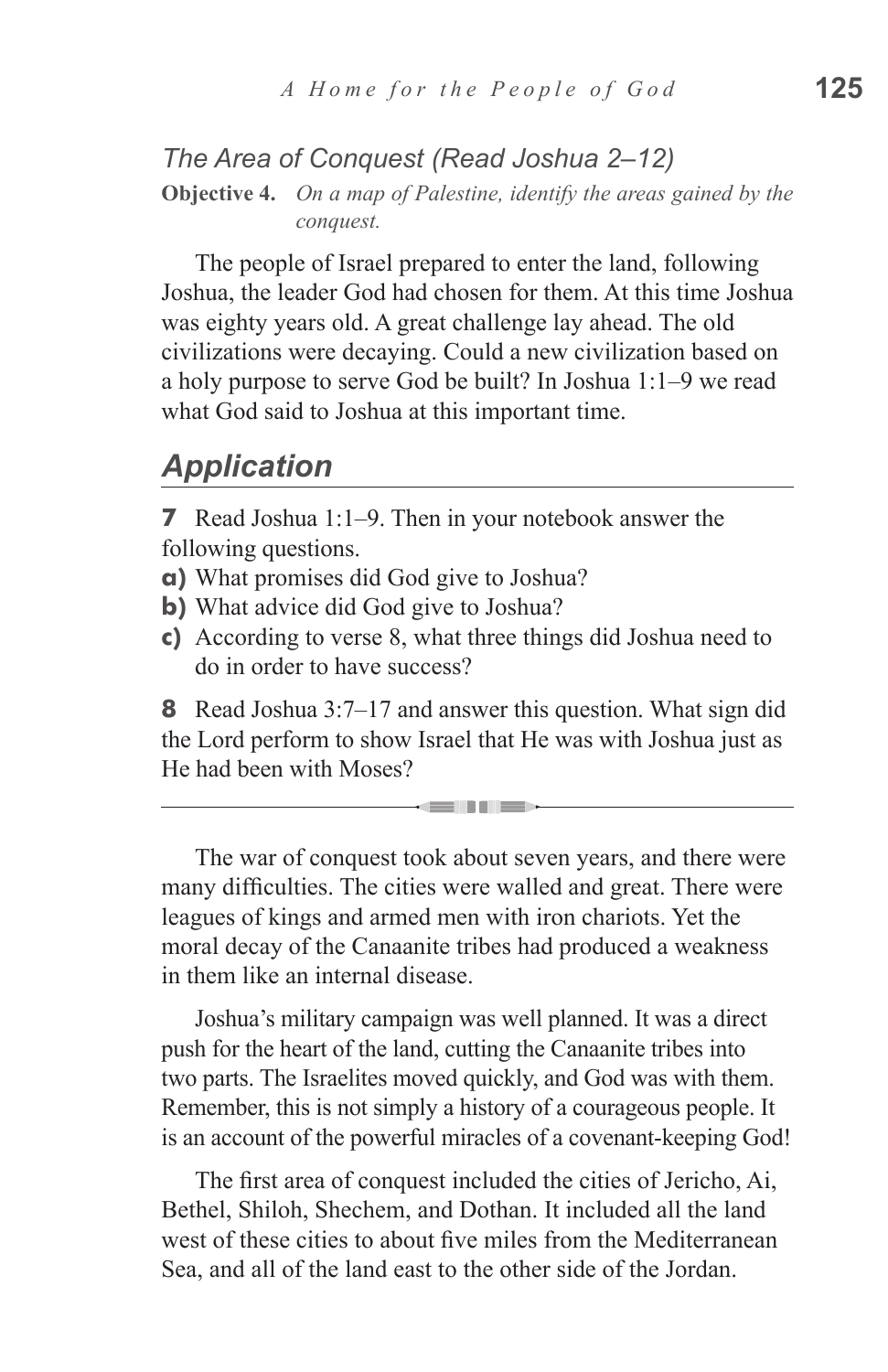#### *The Area of Conquest (Read Joshua 2–12)*

**Objective 4.** *On a map of Palestine, identify the areas gained by the conquest.*

The people of Israel prepared to enter the land, following Joshua, the leader God had chosen for them. At this time Joshua was eighty years old. A great challenge lay ahead. The old civilizations were decaying. Could a new civilization based on a holy purpose to serve God be built? In Joshua 1:1–9 we read what God said to Joshua at this important time.

#### *Application*

**7** Read Joshua 1:1–9. Then in your notebook answer the following questions.

- **a)** What promises did God give to Joshua?
- **b)** What advice did God give to Joshua?
- **c)** According to verse 8, what three things did Joshua need to do in order to have success?

**8** Read Joshua 3:7–17 and answer this question. What sign did the Lord perform to show Israel that He was with Joshua just as He had been with Moses?

<u>sain ni sa</u>

The war of conquest took about seven years, and there were many difficulties. The cities were walled and great. There were leagues of kings and armed men with iron chariots. Yet the moral decay of the Canaanite tribes had produced a weakness in them like an internal disease.

Joshua's military campaign was well planned. It was a direct push for the heart of the land, cutting the Canaanite tribes into two parts. The Israelites moved quickly, and God was with them. Remember, this is not simply a history of a courageous people. It is an account of the powerful miracles of a covenant-keeping God!

The first area of conquest included the cities of Jericho, Ai, Bethel, Shiloh, Shechem, and Dothan. It included all the land west of these cities to about five miles from the Mediterranean Sea, and all of the land east to the other side of the Jordan.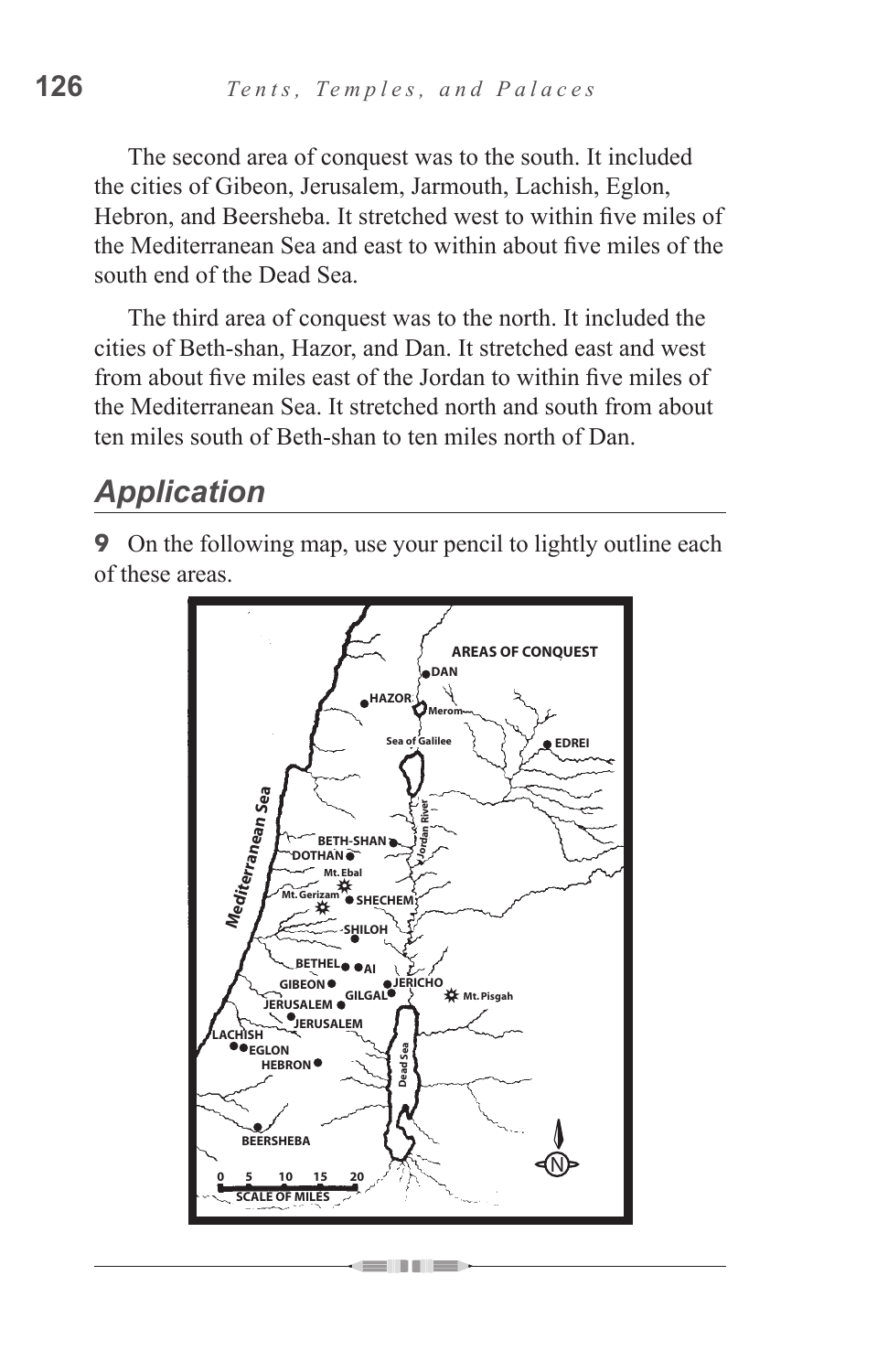The second area of conquest was to the south. It included the cities of Gibeon, Jerusalem, Jarmouth, Lachish, Eglon, Hebron, and Beersheba. It stretched west to within five miles of the Mediterranean Sea and east to within about five miles of the south end of the Dead Sea.

The third area of conquest was to the north. It included the cities of Beth-shan, Hazor, and Dan. It stretched east and west from about five miles east of the Jordan to within five miles of the Mediterranean Sea. It stretched north and south from about ten miles south of Beth-shan to ten miles north of Dan.

## *Application*

**9** On the following map, use your pencil to lightly outline each of these areas.

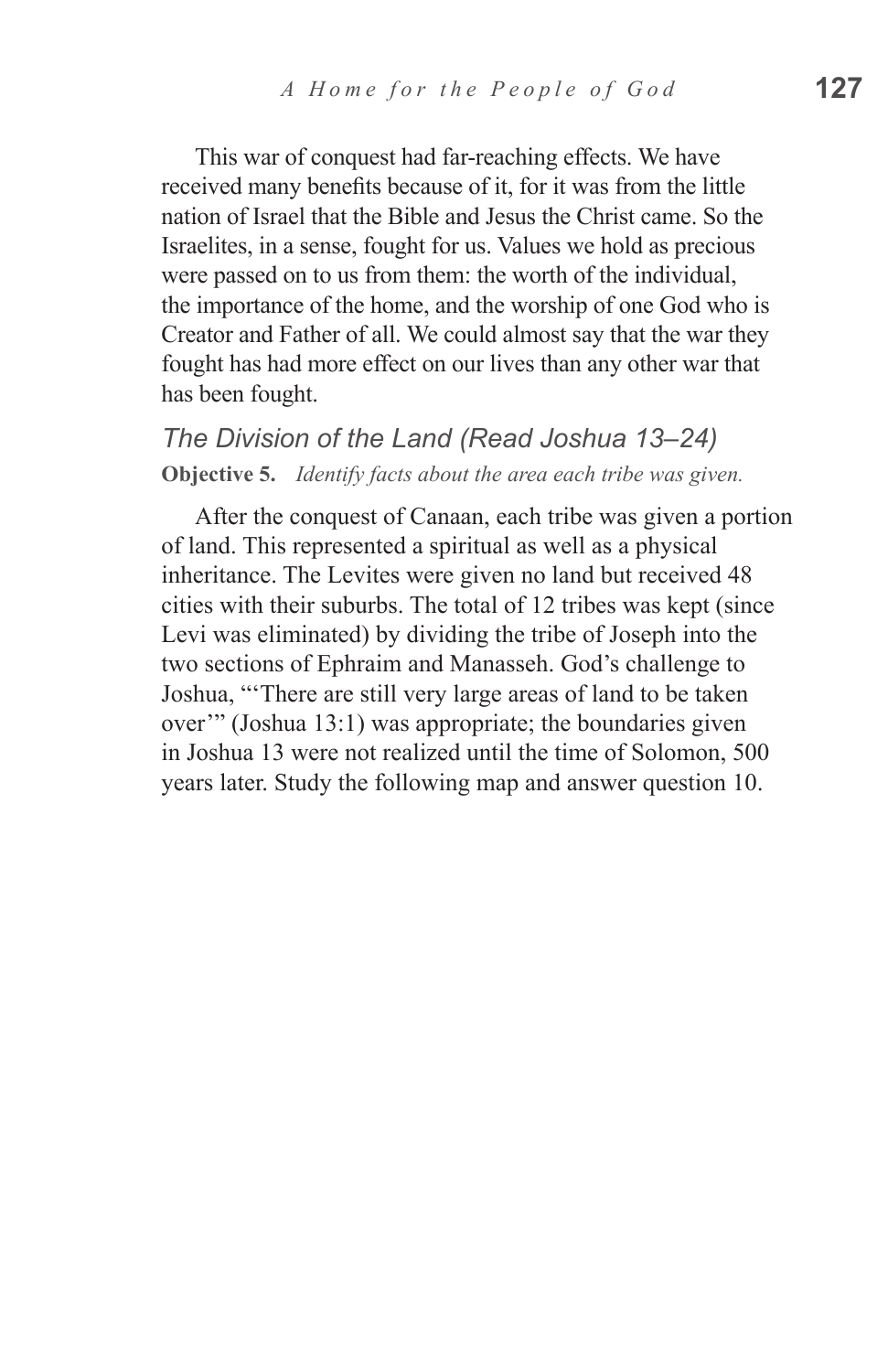This war of conquest had far-reaching effects. We have received many benefits because of it, for it was from the little nation of Israel that the Bible and Jesus the Christ came. So the Israelites, in a sense, fought for us. Values we hold as precious were passed on to us from them: the worth of the individual, the importance of the home, and the worship of one God who is Creator and Father of all. We could almost say that the war they fought has had more effect on our lives than any other war that has been fought.

*The Division of the Land (Read Joshua 13–24)* **Objective 5.** *Identify facts about the area each tribe was given.*

After the conquest of Canaan, each tribe was given a portion of land. This represented a spiritual as well as a physical inheritance. The Levites were given no land but received 48 cities with their suburbs. The total of 12 tribes was kept (since Levi was eliminated) by dividing the tribe of Joseph into the two sections of Ephraim and Manasseh. God's challenge to Joshua, "'There are still very large areas of land to be taken over'" (Joshua 13:1) was appropriate; the boundaries given in Joshua 13 were not realized until the time of Solomon, 500 years later. Study the following map and answer question 10.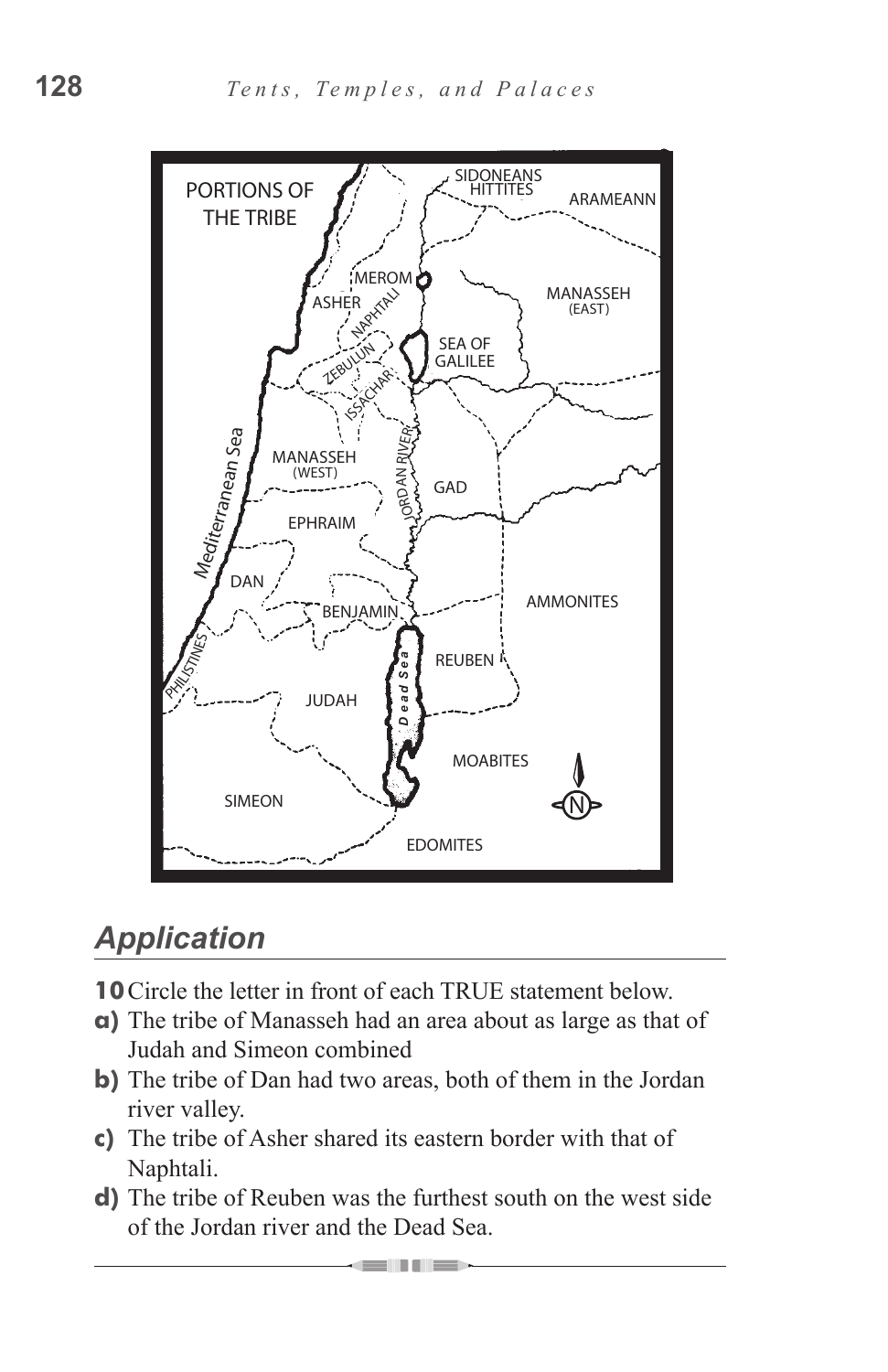

## *Application*

**10**Circle the letter in front of each TRUE statement below.

- **a)** The tribe of Manasseh had an area about as large as that of Judah and Simeon combined
- **b)** The tribe of Dan had two areas, both of them in the Jordan river valley.
- **c)** The tribe of Asher shared its eastern border with that of Naphtali.
- **d)** The tribe of Reuben was the furthest south on the west side of the Jordan river and the Dead Sea.

**STEPHENO**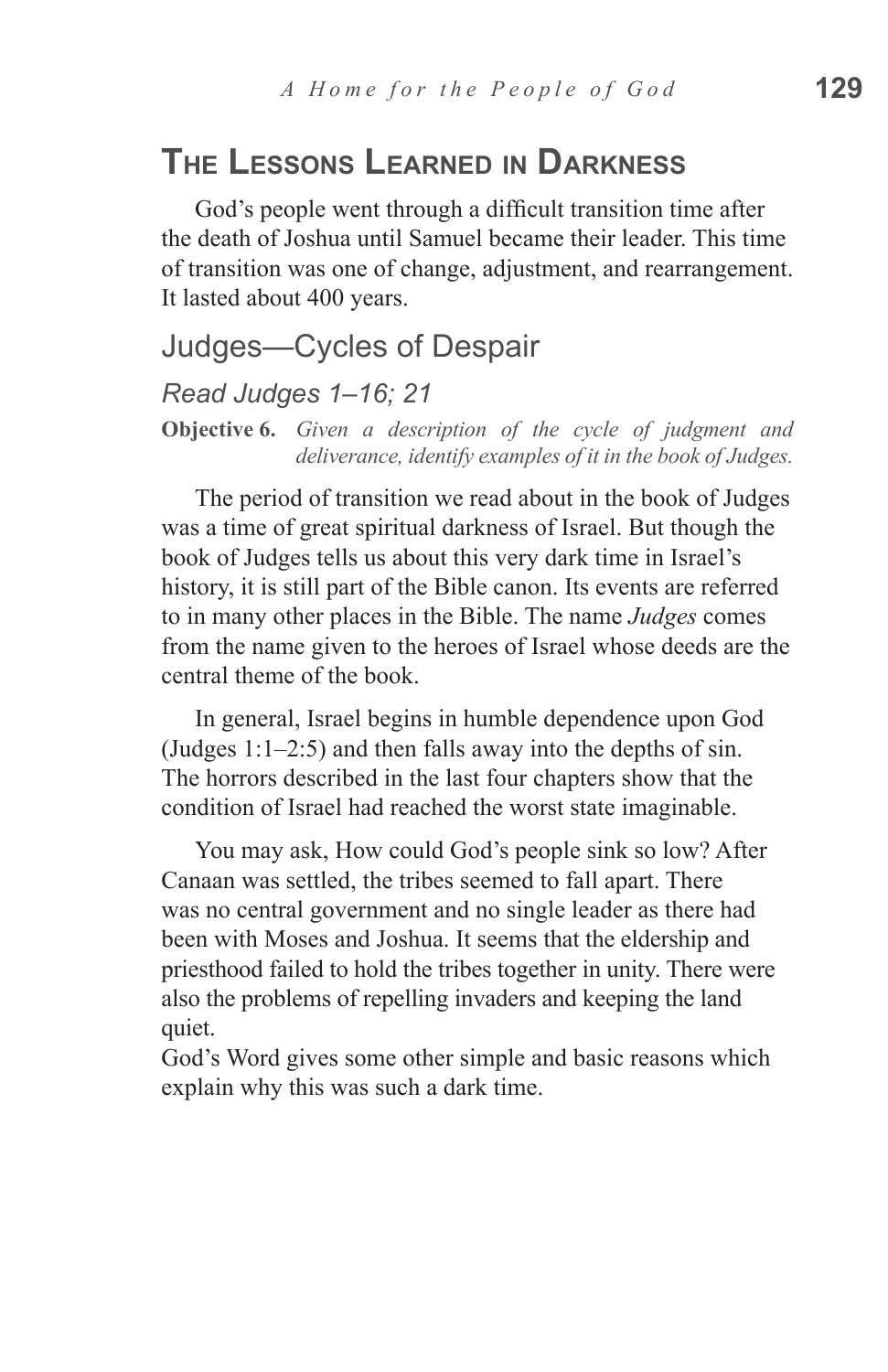## **The Lessons Learned in Darkness**

God's people went through a difficult transition time after the death of Joshua until Samuel became their leader. This time of transition was one of change, adjustment, and rearrangement. It lasted about 400 years.

#### Judges—Cycles of Despair

#### *Read Judges 1–16; 21*

**Objective 6.** *Given a description of the cycle of judgment and deliverance, identify examples of it in the book of Judges.*

The period of transition we read about in the book of Judges was a time of great spiritual darkness of Israel. But though the book of Judges tells us about this very dark time in Israel's history, it is still part of the Bible canon. Its events are referred to in many other places in the Bible. The name *Judges* comes from the name given to the heroes of Israel whose deeds are the central theme of the book.

In general, Israel begins in humble dependence upon God (Judges 1:1–2:5) and then falls away into the depths of sin. The horrors described in the last four chapters show that the condition of Israel had reached the worst state imaginable.

You may ask, How could God's people sink so low? After Canaan was settled, the tribes seemed to fall apart. There was no central government and no single leader as there had been with Moses and Joshua. It seems that the eldership and priesthood failed to hold the tribes together in unity. There were also the problems of repelling invaders and keeping the land quiet.

God's Word gives some other simple and basic reasons which explain why this was such a dark time.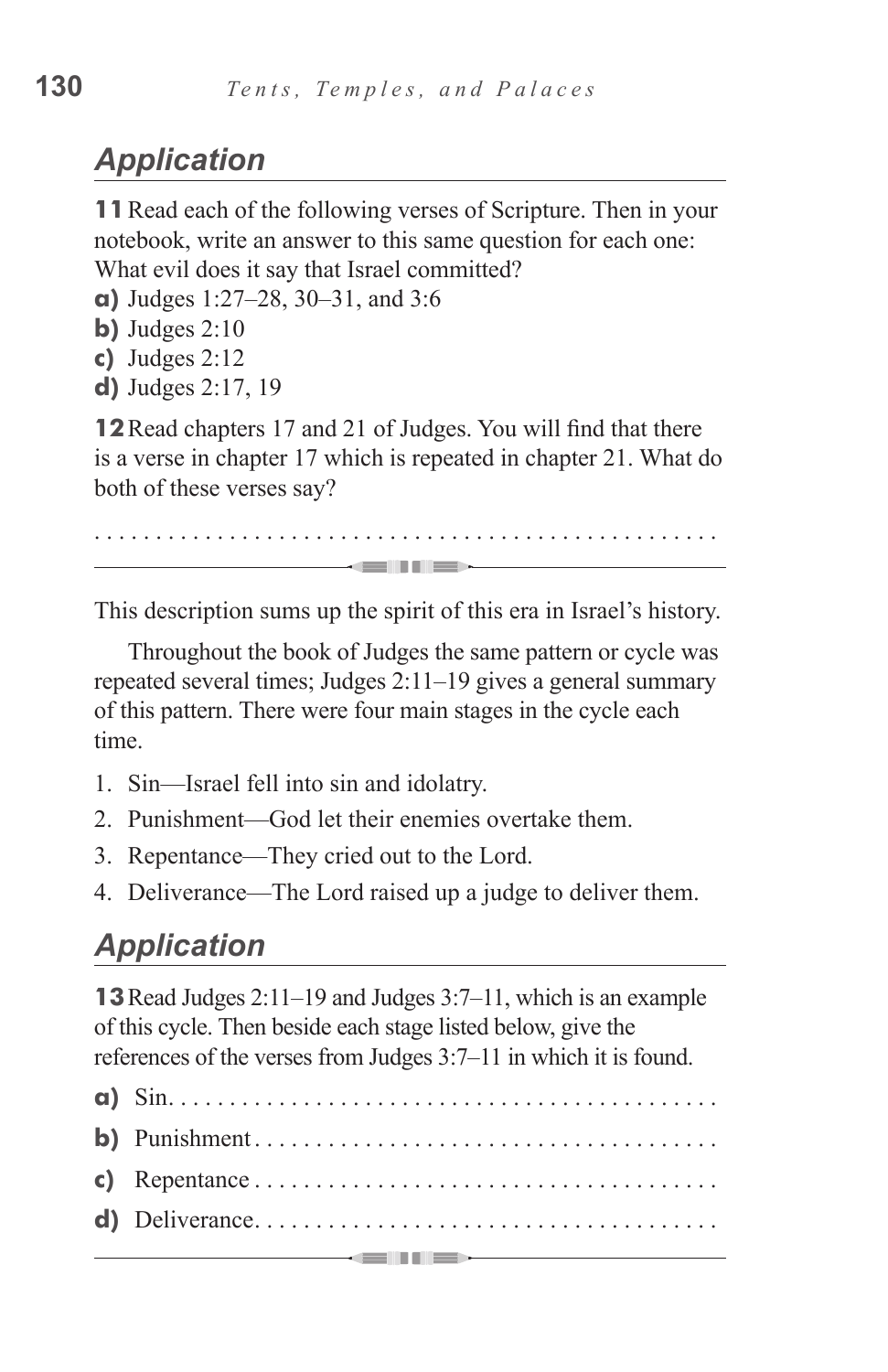# *Application*

**11**Read each of the following verses of Scripture. Then in your notebook, write an answer to this same question for each one: What evil does it say that Israel committed?

- **a)** Judges 1:27–28, 30–31, and 3:6
- **b)** Judges 2:10
- **c)** Judges 2:12
- **d)** Judges 2:17, 19

**12**Read chapters 17 and 21 of Judges. You will find that there is a verse in chapter 17 which is repeated in chapter 21. What do both of these verses say?

. . . . . . . . . . . . . . . . . . . . . . . . . . . . . . . . . . . . . . . . . . . . . . . . . . . 

This description sums up the spirit of this era in Israel's history.

Throughout the book of Judges the same pattern or cycle was repeated several times; Judges 2:11–19 gives a general summary of this pattern. There were four main stages in the cycle each time.

- 1. Sin—Israel fell into sin and idolatry.
- 2. Punishment—God let their enemies overtake them.
- 3. Repentance—They cried out to the Lord.
- 4. Deliverance—The Lord raised up a judge to deliver them.

## *Application*

**13**Read Judges 2:11–19 and Judges 3:7–11, which is an example of this cycle. Then beside each stage listed below, give the references of the verses from Judges 3:7–11 in which it is found.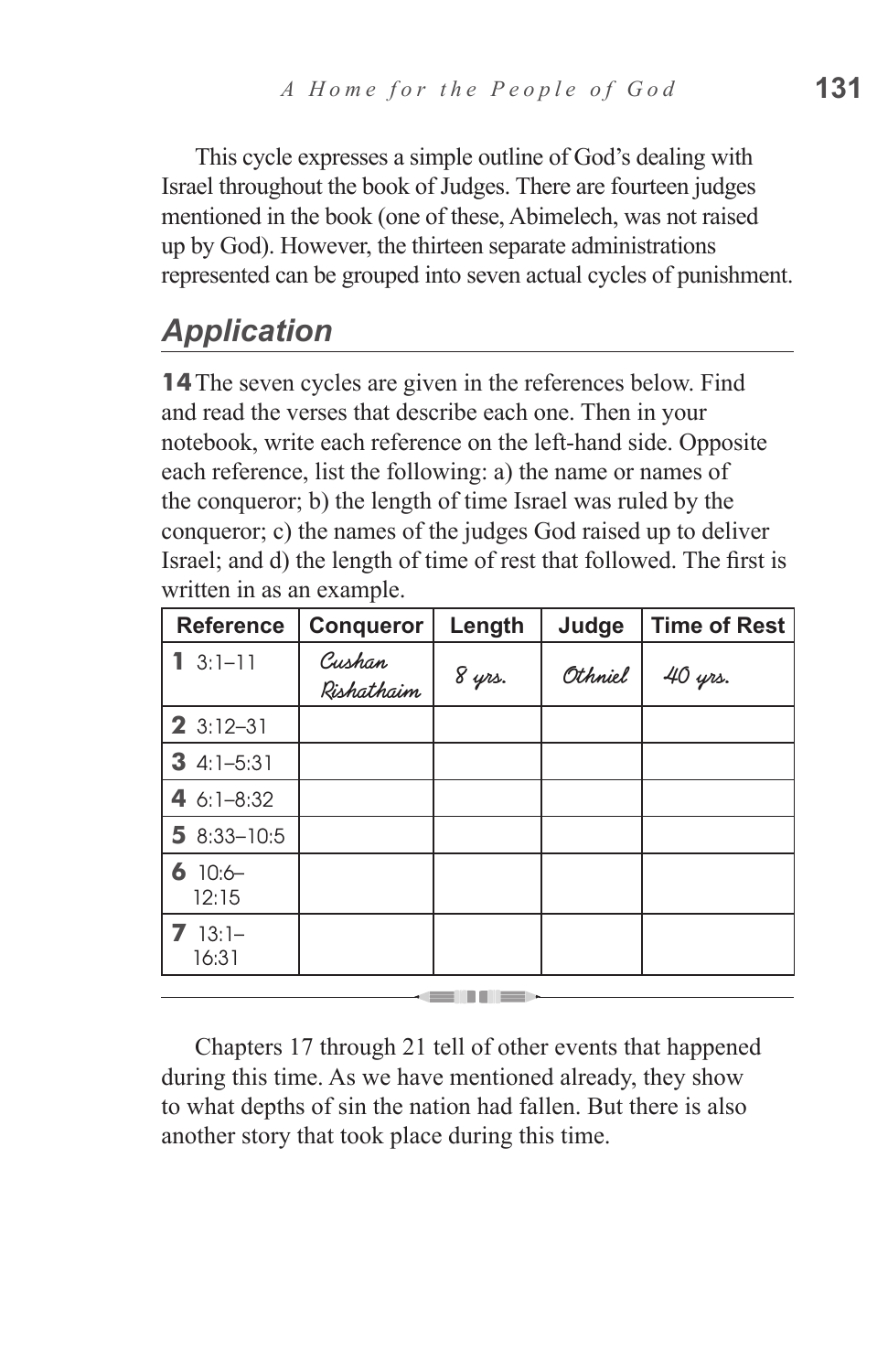This cycle expresses a simple outline of God's dealing with Israel throughout the book of Judges. There are fourteen judges mentioned in the book (one of these, Abimelech, was not raised up by God). However, the thirteen separate administrations represented can be grouped into seven actual cycles of punishment.

# *Application*

**14**The seven cycles are given in the references below. Find and read the verses that describe each one. Then in your notebook, write each reference on the left-hand side. Opposite each reference, list the following: a) the name or names of the conqueror; b) the length of time Israel was ruled by the conqueror; c) the names of the judges God raised up to deliver Israel; and d) the length of time of rest that followed. The first is written in as an example.

| <b>Reference</b>           | <b>Conqueror</b>     | Length | Judge   | <b>Time of Rest</b> |
|----------------------------|----------------------|--------|---------|---------------------|
| $3:1 - 11$<br>$\mathbf{1}$ | Cushan<br>Rishathaim | 8 yrs. | Othniel | 40 yrs.             |
| $23:12-31$                 |                      |        |         |                     |
| 3 $4:1-5:31$               |                      |        |         |                     |
| 4 6:1-8:32                 |                      |        |         |                     |
| 5 $8:33 - 10:5$            |                      |        |         |                     |
| $6$ 10:6-<br>12:15         |                      |        |         |                     |
| $713:1-$<br>16:31          |                      |        |         |                     |

Chapters 17 through 21 tell of other events that happened during this time. As we have mentioned already, they show to what depths of sin the nation had fallen. But there is also another story that took place during this time.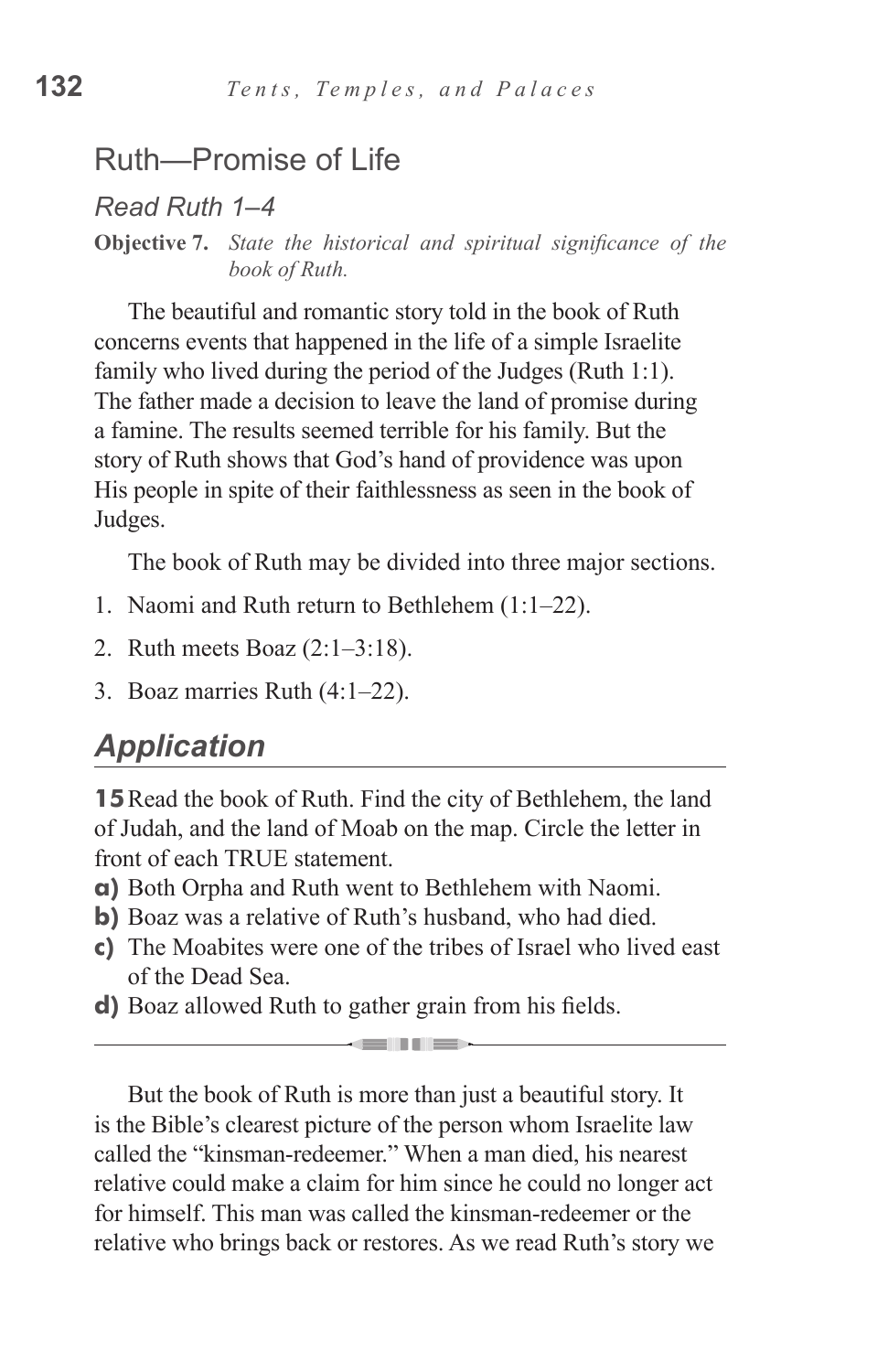#### Ruth—Promise of Life

*Read Ruth 1–4*

**Objective 7.** *State the historical and spiritual significance of the book of Ruth.*

The beautiful and romantic story told in the book of Ruth concerns events that happened in the life of a simple Israelite family who lived during the period of the Judges (Ruth 1:1). The father made a decision to leave the land of promise during a famine. The results seemed terrible for his family. But the story of Ruth shows that God's hand of providence was upon His people in spite of their faithlessness as seen in the book of Judges.

The book of Ruth may be divided into three major sections.

- 1. Naomi and Ruth return to Bethlehem (1:1–22).
- 2. Ruth meets Boaz (2:1–3:18).
- 3. Boaz marries Ruth (4:1–22).

#### *Application*

**15**Read the book of Ruth. Find the city of Bethlehem, the land of Judah, and the land of Moab on the map. Circle the letter in front of each TRUE statement.

- **a)** Both Orpha and Ruth went to Bethlehem with Naomi.
- **b)** Boaz was a relative of Ruth's husband, who had died.
- **c)** The Moabites were one of the tribes of Israel who lived east of the Dead Sea.

<u> La Carlin III a B</u>

**d)** Boaz allowed Ruth to gather grain from his fields.

But the book of Ruth is more than just a beautiful story. It is the Bible's clearest picture of the person whom Israelite law called the "kinsman-redeemer." When a man died, his nearest relative could make a claim for him since he could no longer act for himself. This man was called the kinsman-redeemer or the relative who brings back or restores. As we read Ruth's story we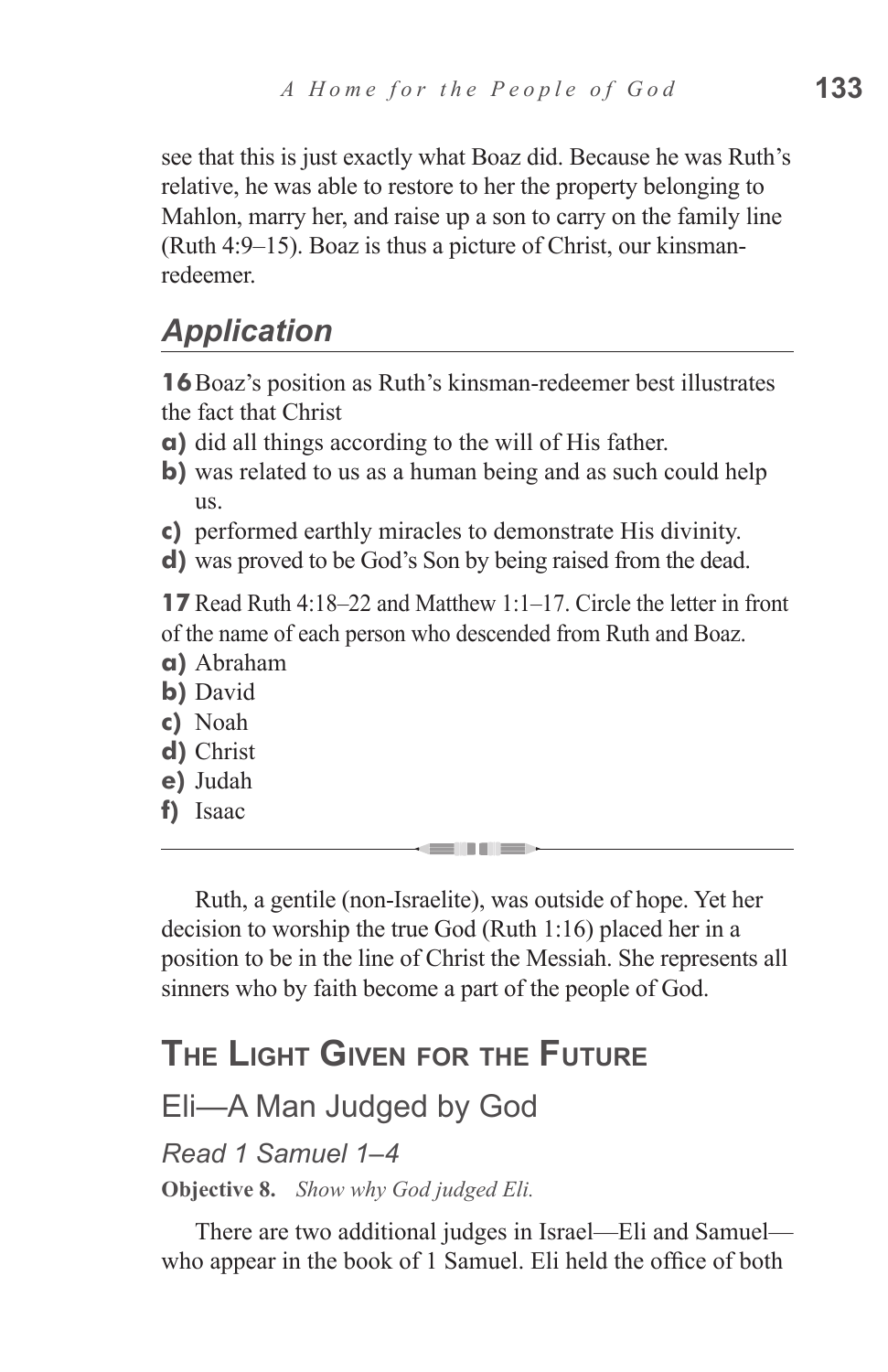see that this is just exactly what Boaz did. Because he was Ruth's relative, he was able to restore to her the property belonging to Mahlon, marry her, and raise up a son to carry on the family line (Ruth 4:9–15). Boaz is thus a picture of Christ, our kinsmanredeemer.

## *Application*

**16**Boaz's position as Ruth's kinsman-redeemer best illustrates the fact that Christ

- **a)** did all things according to the will of His father.
- **b**) was related to us as a human being and as such could help us.
- **c)** performed earthly miracles to demonstrate His divinity.
- **d)** was proved to be God's Son by being raised from the dead.

**17** Read Ruth 4:18–22 and Matthew 1:1–17. Circle the letter in front of the name of each person who descended from Ruth and Boaz.

- **a)** Abraham
- **b)** David
- **c)** Noah
- **d)** Christ
- **e)** Judah
- **f)** Isaac

Ruth, a gentile (non-Israelite), was outside of hope. Yet her decision to worship the true God (Ruth 1:16) placed her in a position to be in the line of Christ the Messiah. She represents all sinners who by faith become a part of the people of God.

# **The Light Given for the Future**

#### Eli—A Man Judged by God

#### *Read 1 Samuel 1–4*

**Objective 8.** *Show why God judged Eli.*

There are two additional judges in Israel—Eli and Samuel who appear in the book of 1 Samuel. Eli held the office of both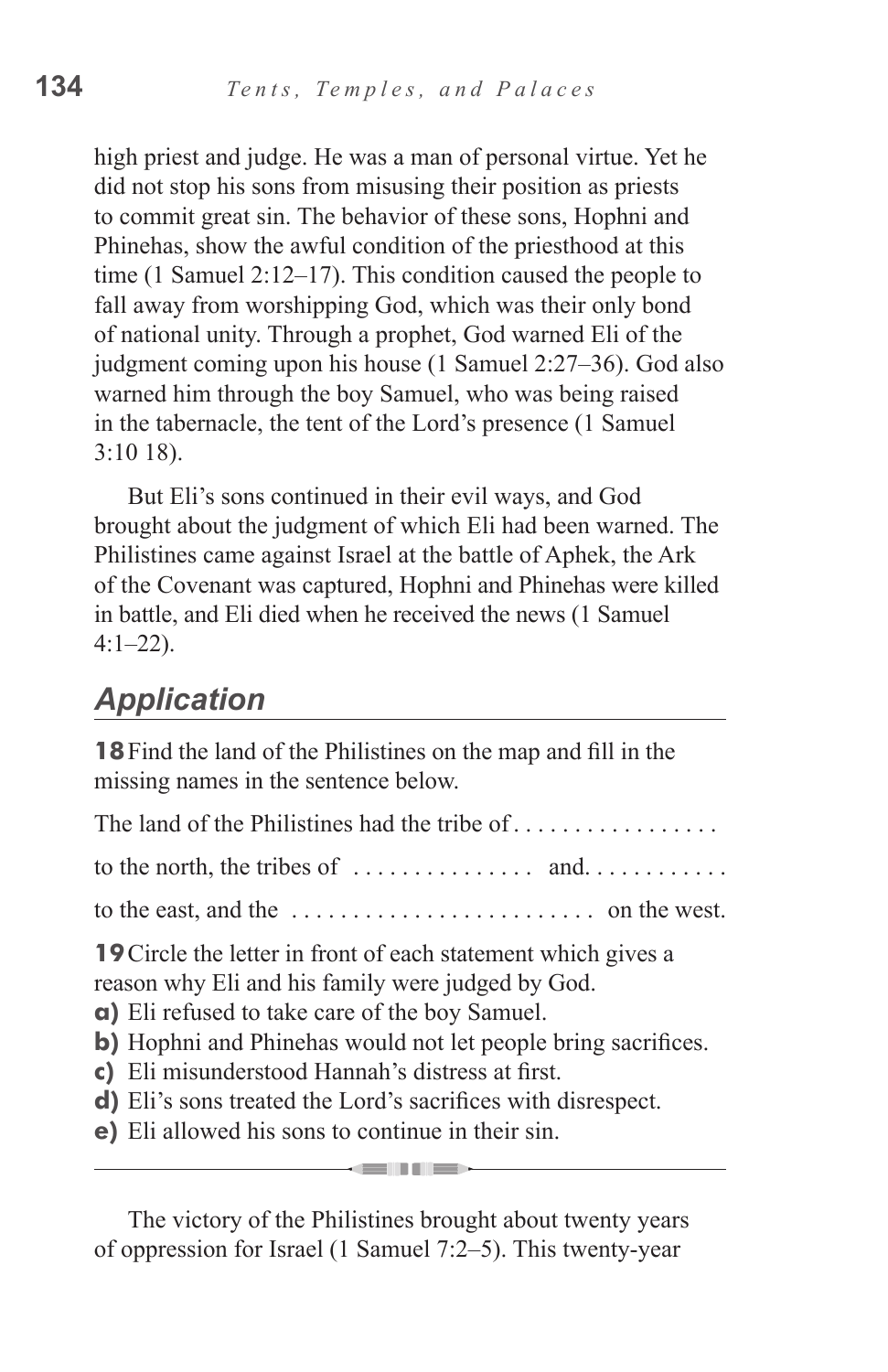high priest and judge. He was a man of personal virtue. Yet he did not stop his sons from misusing their position as priests to commit great sin. The behavior of these sons, Hophni and Phinehas, show the awful condition of the priesthood at this time (1 Samuel 2:12–17). This condition caused the people to fall away from worshipping God, which was their only bond of national unity. Through a prophet, God warned Eli of the judgment coming upon his house (1 Samuel 2:27–36). God also warned him through the boy Samuel, who was being raised in the tabernacle, the tent of the Lord's presence (1 Samuel 3:10 18).

But Eli's sons continued in their evil ways, and God brought about the judgment of which Eli had been warned. The Philistines came against Israel at the battle of Aphek, the Ark of the Covenant was captured, Hophni and Phinehas were killed in battle, and Eli died when he received the news (1 Samuel  $4:1-22$ ).

#### *Application*

**18**Find the land of the Philistines on the map and fill in the missing names in the sentence below.

| The land of the Philistines had the tribe of $\dots \dots \dots \dots$                                                                                                                                                                                                                                                                                                                                                |
|-----------------------------------------------------------------------------------------------------------------------------------------------------------------------------------------------------------------------------------------------------------------------------------------------------------------------------------------------------------------------------------------------------------------------|
| to the north, the tribes of $\dots \dots \dots \dots$ and $\dots \dots \dots$                                                                                                                                                                                                                                                                                                                                         |
| to the east, and the $\dots \dots \dots \dots \dots \dots \dots$ on the west.                                                                                                                                                                                                                                                                                                                                         |
| <b>19</b> Circle the letter in front of each statement which gives a<br>reason why Eli and his family were judged by God.<br>a) Eli refused to take care of the boy Samuel.<br>b) Hophni and Phinehas would not let people bring sacrifices.<br>c) Eli misunderstood Hannah's distress at first.<br>d) Eli's sons treated the Lord's sacrifices with disrespect.<br>e) Eli allowed his sons to continue in their sin. |

The victory of the Philistines brought about twenty years of oppression for Israel (1 Samuel 7:2–5). This twenty-year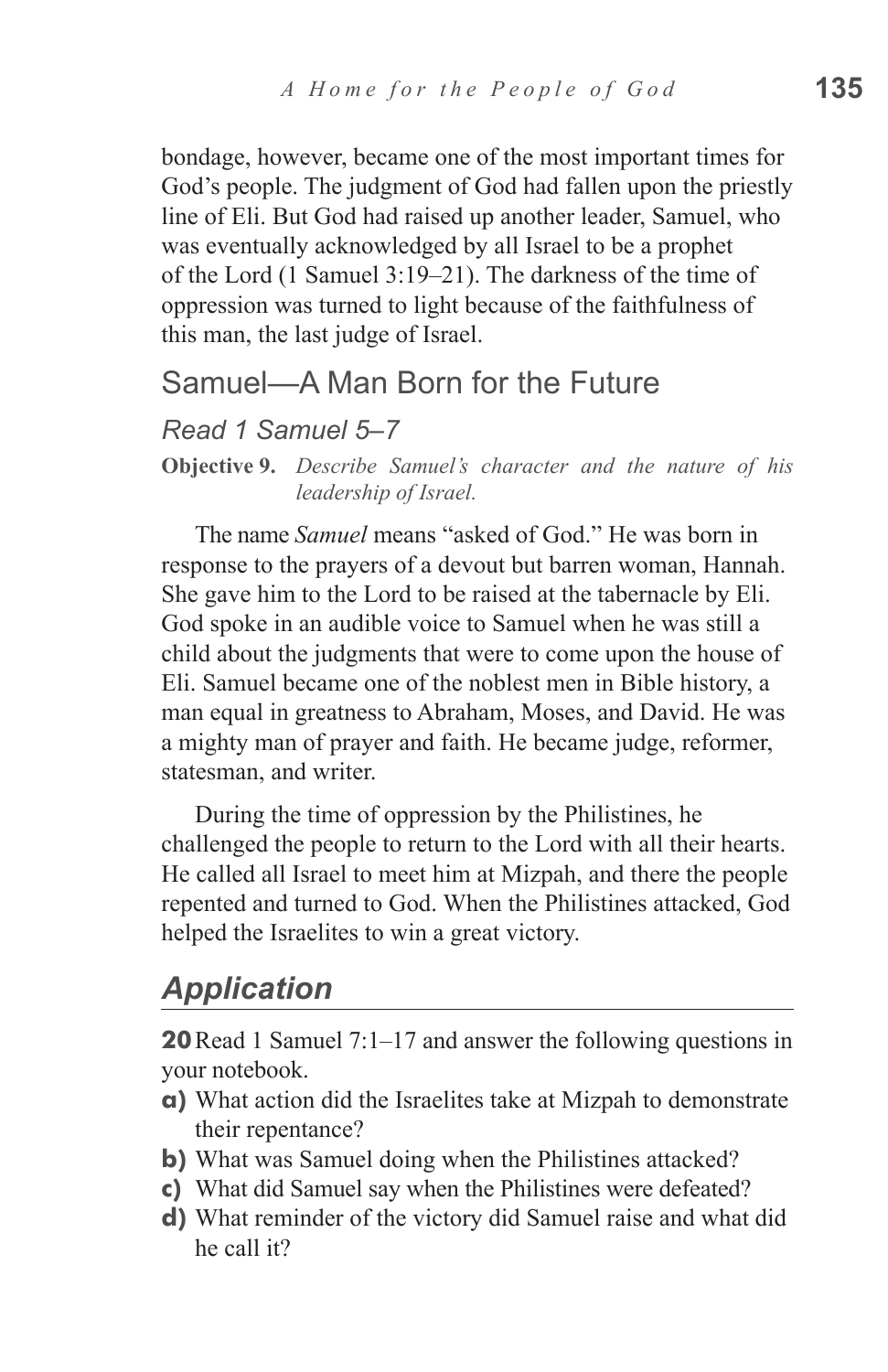bondage, however, became one of the most important times for God's people. The judgment of God had fallen upon the priestly line of Eli. But God had raised up another leader, Samuel, who was eventually acknowledged by all Israel to be a prophet of the Lord (1 Samuel 3:19–21). The darkness of the time of oppression was turned to light because of the faithfulness of this man, the last judge of Israel.

#### Samuel—A Man Born for the Future

#### *Read 1 Samuel 5–7*

**Objective 9.** *Describe Samuel's character and the nature of his leadership of Israel.*

The name *Samuel* means "asked of God." He was born in response to the prayers of a devout but barren woman, Hannah. She gave him to the Lord to be raised at the tabernacle by Eli. God spoke in an audible voice to Samuel when he was still a child about the judgments that were to come upon the house of Eli. Samuel became one of the noblest men in Bible history, a man equal in greatness to Abraham, Moses, and David. He was a mighty man of prayer and faith. He became judge, reformer, statesman, and writer.

During the time of oppression by the Philistines, he challenged the people to return to the Lord with all their hearts. He called all Israel to meet him at Mizpah, and there the people repented and turned to God. When the Philistines attacked, God helped the Israelites to win a great victory.

#### *Application*

**20**Read 1 Samuel 7:1–17 and answer the following questions in your notebook.

- **a)** What action did the Israelites take at Mizpah to demonstrate their repentance?
- **b**) What was Samuel doing when the Philistines attacked?
- **c)** What did Samuel say when the Philistines were defeated?
- **d)** What reminder of the victory did Samuel raise and what did he call it?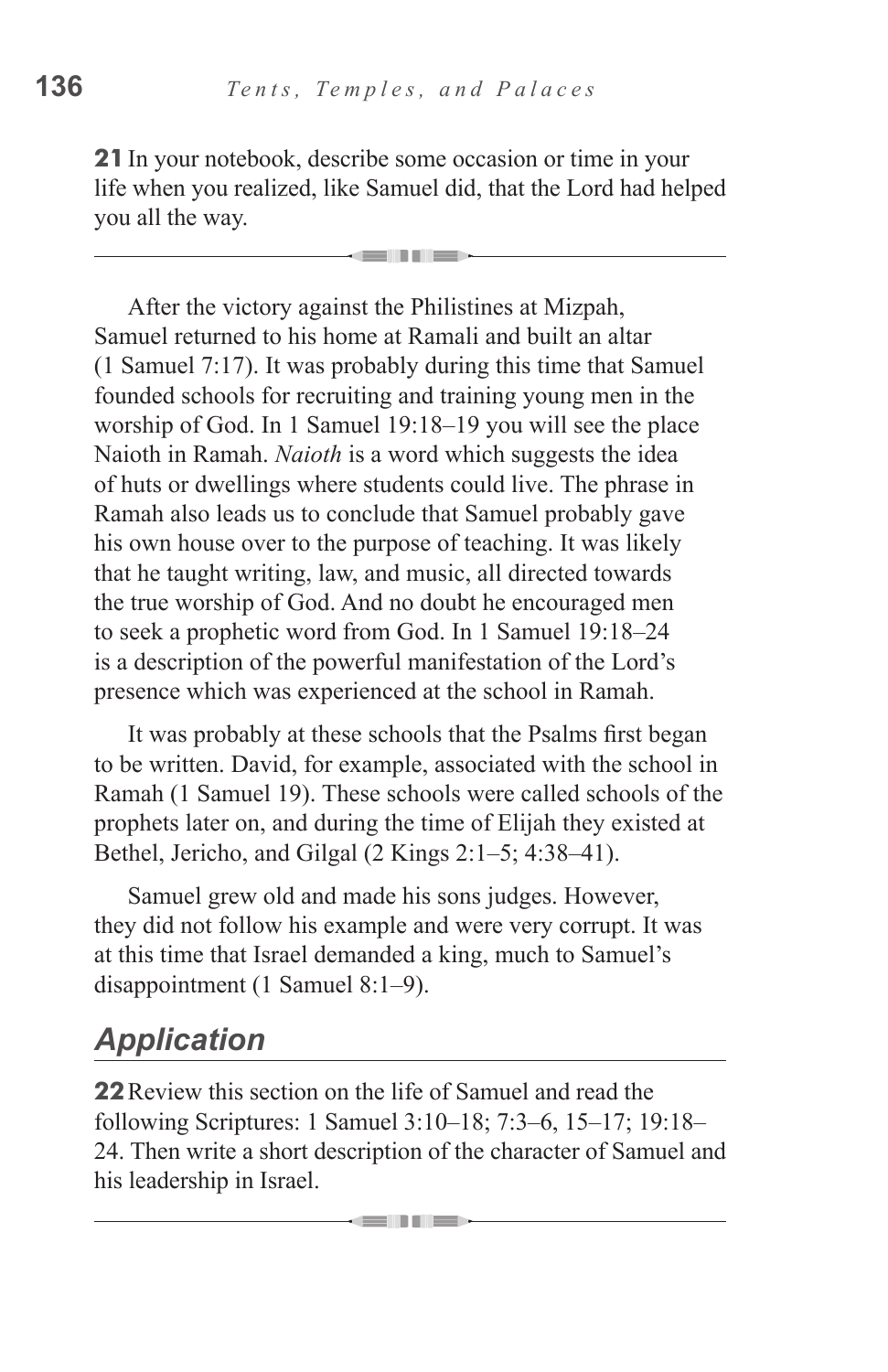**21**In your notebook, describe some occasion or time in your life when you realized, like Samuel did, that the Lord had helped you all the way.

. . . .

After the victory against the Philistines at Mizpah, Samuel returned to his home at Ramali and built an altar (1 Samuel 7:17). It was probably during this time that Samuel founded schools for recruiting and training young men in the worship of God. In 1 Samuel 19:18–19 you will see the place Naioth in Ramah. *Naioth* is a word which suggests the idea of huts or dwellings where students could live. The phrase in Ramah also leads us to conclude that Samuel probably gave his own house over to the purpose of teaching. It was likely that he taught writing, law, and music, all directed towards the true worship of God. And no doubt he encouraged men to seek a prophetic word from God. In 1 Samuel 19:18–24 is a description of the powerful manifestation of the Lord's presence which was experienced at the school in Ramah.

It was probably at these schools that the Psalms first began to be written. David, for example, associated with the school in Ramah (1 Samuel 19). These schools were called schools of the prophets later on, and during the time of Elijah they existed at Bethel, Jericho, and Gilgal (2 Kings 2:1–5; 4:38–41).

Samuel grew old and made his sons judges. However, they did not follow his example and were very corrupt. It was at this time that Israel demanded a king, much to Samuel's disappointment (1 Samuel 8:1–9).

# *Application*

**22**Review this section on the life of Samuel and read the following Scriptures: 1 Samuel 3:10–18; 7:3–6, 15–17; 19:18– 24. Then write a short description of the character of Samuel and his leadership in Israel.

----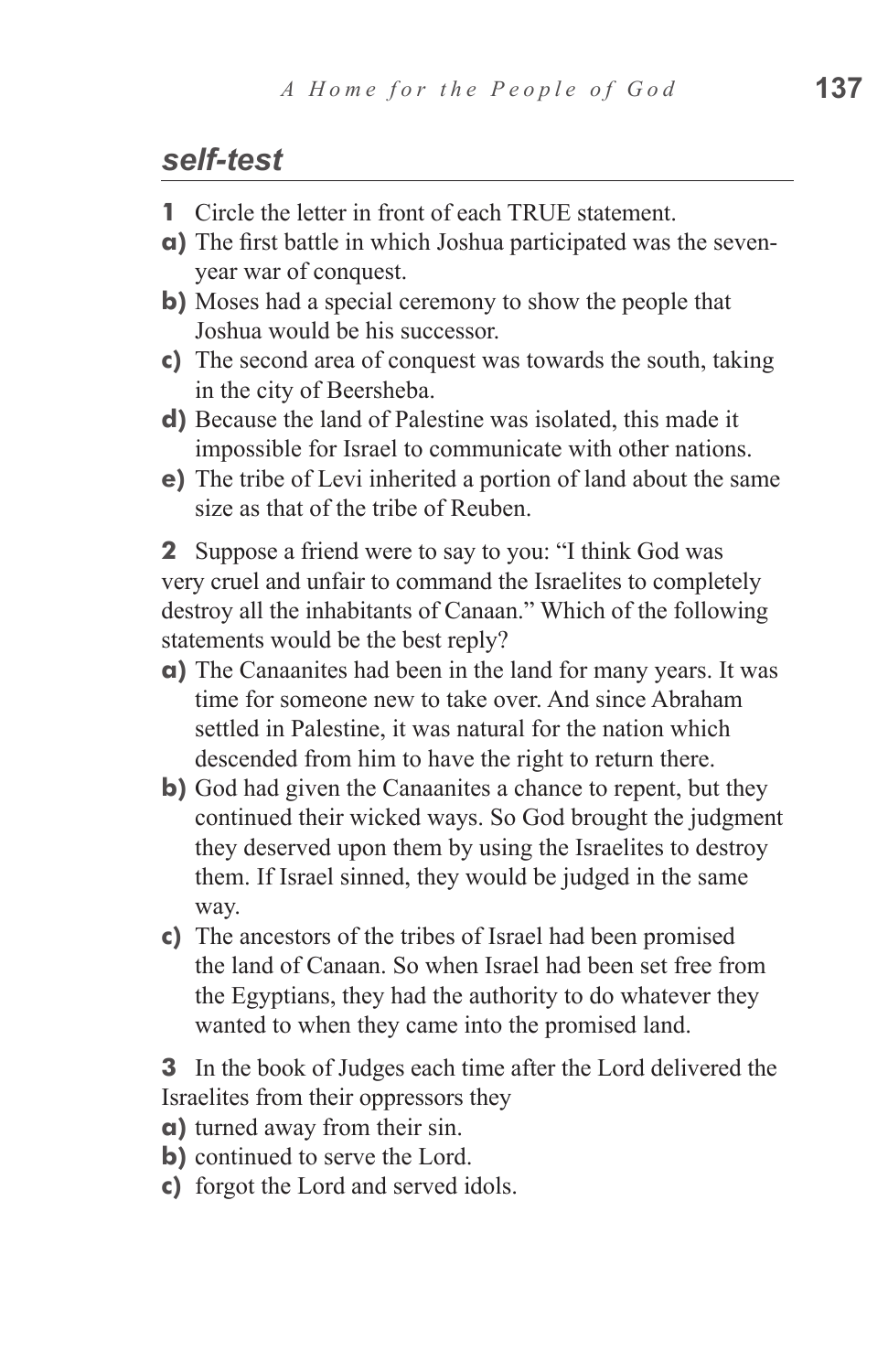#### *self-test*

- **1** Circle the letter in front of each TRUE statement.
- **a)** The first battle in which Joshua participated was the sevenyear war of conquest.
- **b)** Moses had a special ceremony to show the people that Joshua would be his successor.
- **c)** The second area of conquest was towards the south, taking in the city of Beersheba.
- **d)** Because the land of Palestine was isolated, this made it impossible for Israel to communicate with other nations.
- **e)** The tribe of Levi inherited a portion of land about the same size as that of the tribe of Reuben.

**2** Suppose a friend were to say to you: "I think God was very cruel and unfair to command the Israelites to completely destroy all the inhabitants of Canaan." Which of the following statements would be the best reply?

- **a)** The Canaanites had been in the land for many years. It was time for someone new to take over. And since Abraham settled in Palestine, it was natural for the nation which descended from him to have the right to return there.
- **b**) God had given the Canaanites a chance to repent, but they continued their wicked ways. So God brought the judgment they deserved upon them by using the Israelites to destroy them. If Israel sinned, they would be judged in the same way.
- **c)** The ancestors of the tribes of Israel had been promised the land of Canaan. So when Israel had been set free from the Egyptians, they had the authority to do whatever they wanted to when they came into the promised land.

**3** In the book of Judges each time after the Lord delivered the Israelites from their oppressors they

- **a)** turned away from their sin.
- **b)** continued to serve the Lord.
- **c)** forgot the Lord and served idols.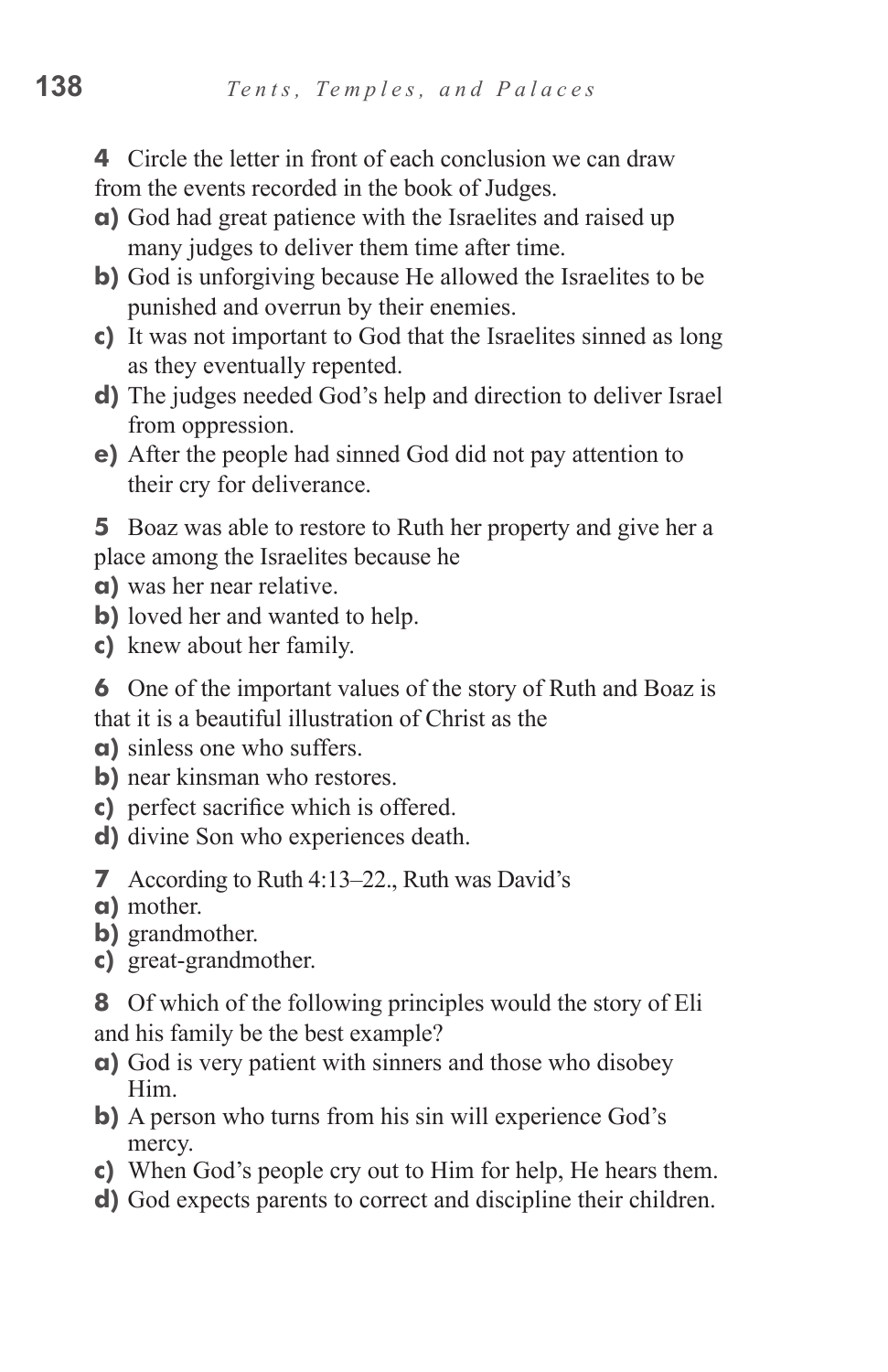**4** Circle the letter in front of each conclusion we can draw from the events recorded in the book of Judges.

- **a)** God had great patience with the Israelites and raised up many judges to deliver them time after time.
- **b**) God is unforgiving because He allowed the Israelites to be punished and overrun by their enemies.
- **c)** It was not important to God that the Israelites sinned as long as they eventually repented.
- **d)** The judges needed God's help and direction to deliver Israel from oppression.
- **e)** After the people had sinned God did not pay attention to their cry for deliverance.

**5** Boaz was able to restore to Ruth her property and give her a place among the Israelites because he

- **a)** was her near relative.
- **b**) loved her and wanted to help.
- **c)** knew about her family.
- **6** One of the important values of the story of Ruth and Boaz is that it is a beautiful illustration of Christ as the
- **a)** sinless one who suffers.
- **b**) near kinsman who restores.
- **c)** perfect sacrifice which is offered.
- **d)** divine Son who experiences death.
- **7** According to Ruth 4:13–22., Ruth was David's
- **a)** mother.
- **b)** grandmother.
- **c)** great-grandmother.
- **8** Of which of the following principles would the story of Eli and his family be the best example?
- **a)** God is very patient with sinners and those who disobey Him.
- **b**) A person who turns from his sin will experience God's mercy.
- **c)** When God's people cry out to Him for help, He hears them.
- **d)** God expects parents to correct and discipline their children.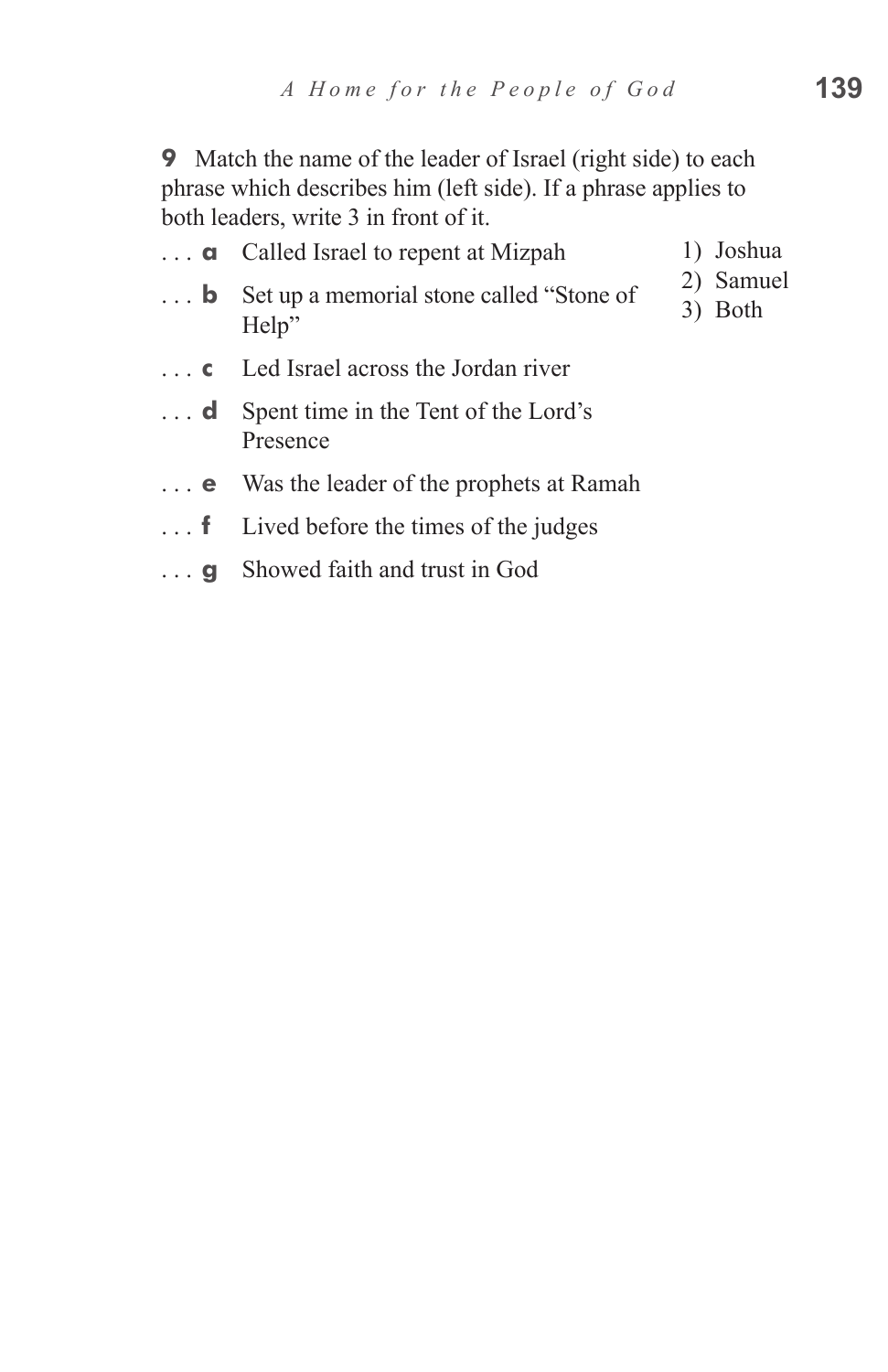**9** Match the name of the leader of Israel (right side) to each phrase which describes him (left side). If a phrase applies to both leaders, write 3 in front of it.

- **a** Called Israel to repent at Mizpah **b** Set up a memorial stone called "Stone of Help" **c** Led Israel across the Jordan river **d**  Spent time in the Tent of the Lord's Presence 1) Joshua 2) Samuel 3) Both
- **e** Was the leader of the prophets at Ramah
- **f** Lived before the times of the judges
- **g** Showed faith and trust in God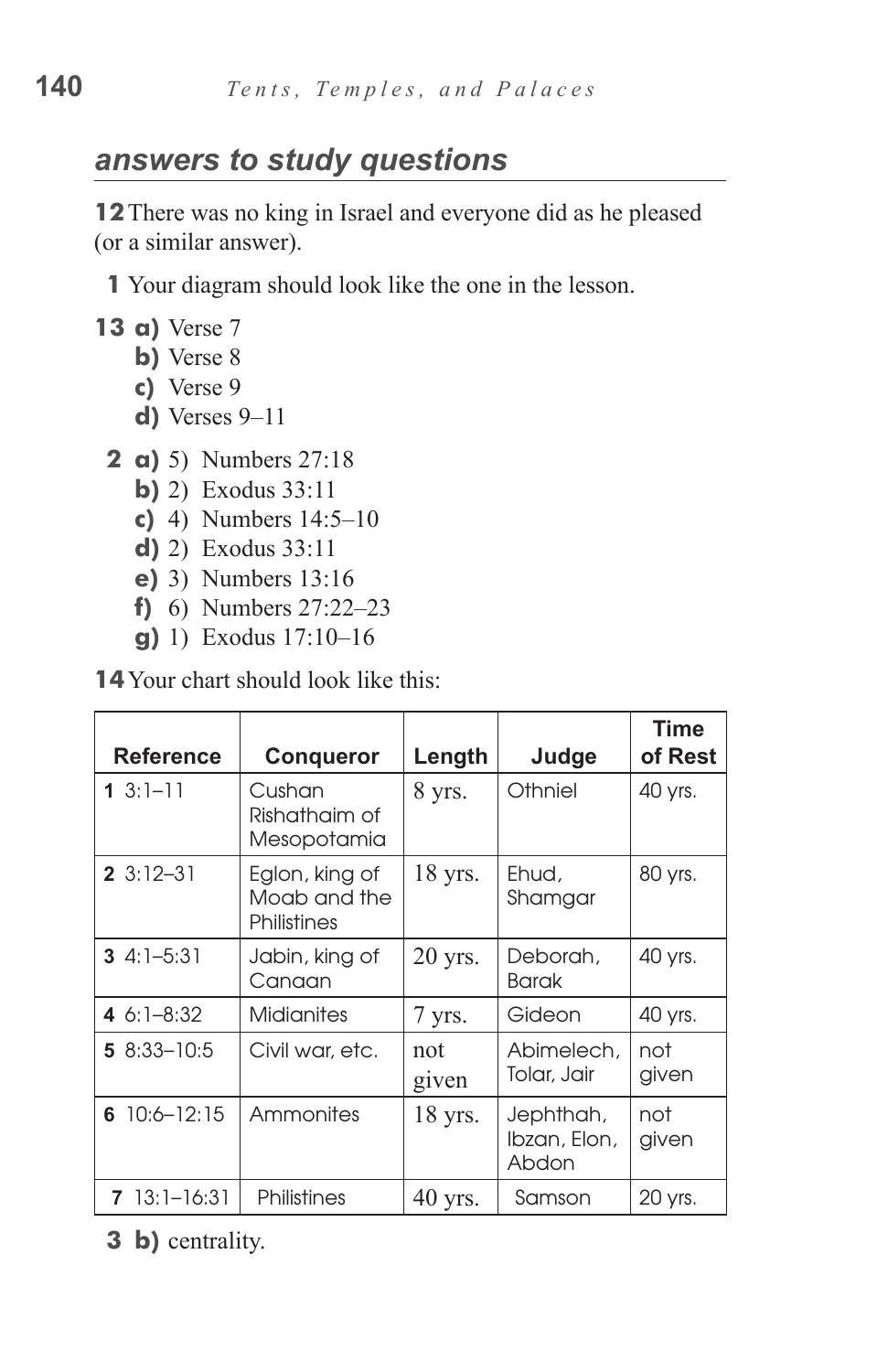# *answers to study questions*

**12**There was no king in Israel and everyone did as he pleased (or a similar answer).

**1** Your diagram should look like the one in the lesson.

- **13 a)** Verse 7
	- **b**) Verse 8
	- **c)**  Verse 9
	- **d**) Verses 9-11
	- **2 a)** 5) Numbers 27:18
		- **b**) 2) Exodus 33:11
		- **c)** 4) Numbers 14:5–10
		- **d)** 2) Exodus 33:11
		- **e**) 3) Numbers 13:16
		- **f**) 6) Numbers 27:22–23
		- **g**) 1) Exodus 17:10–16

**14** Your chart should look like this:

| <b>Reference</b> | <b>Conqueror</b>                              | Length       | Judge                              | <b>Time</b><br>of Rest |
|------------------|-----------------------------------------------|--------------|------------------------------------|------------------------|
| 1 $3:1-11$       | Cushan<br>Rishathaim of<br>Mesopotamia        | 8 yrs.       | Othniel                            | 40 yrs.                |
| $23:12-31$       | Eglon, king of<br>Moab and the<br>Philistines | 18 yrs.      | Ehud,<br>Shamgar                   | 80 yrs.                |
| $34:1-5:31$      | Jabin, king of<br>Canaan                      | 20 yrs.      | Deborah,<br><b>Barak</b>           | 40 yrs.                |
| 4 $6:1 - 8:32$   | <b>Midianites</b>                             | 7 yrs.       | Gideon                             | 40 yrs.                |
| $58:33 - 10:5$   | Civil war, etc.                               | not<br>given | Abimelech,<br>Tolar, Jair          | not<br>given           |
| 6 $10:6 - 12:15$ | Ammonites                                     | 18 yrs.      | Jephthah,<br>Ibzan, Elon,<br>Abdon | not<br>given           |
| $713:1-16:31$    | Philistines                                   | 40 yrs.      | Samson                             | 20 yrs.                |

**3 b)** centrality.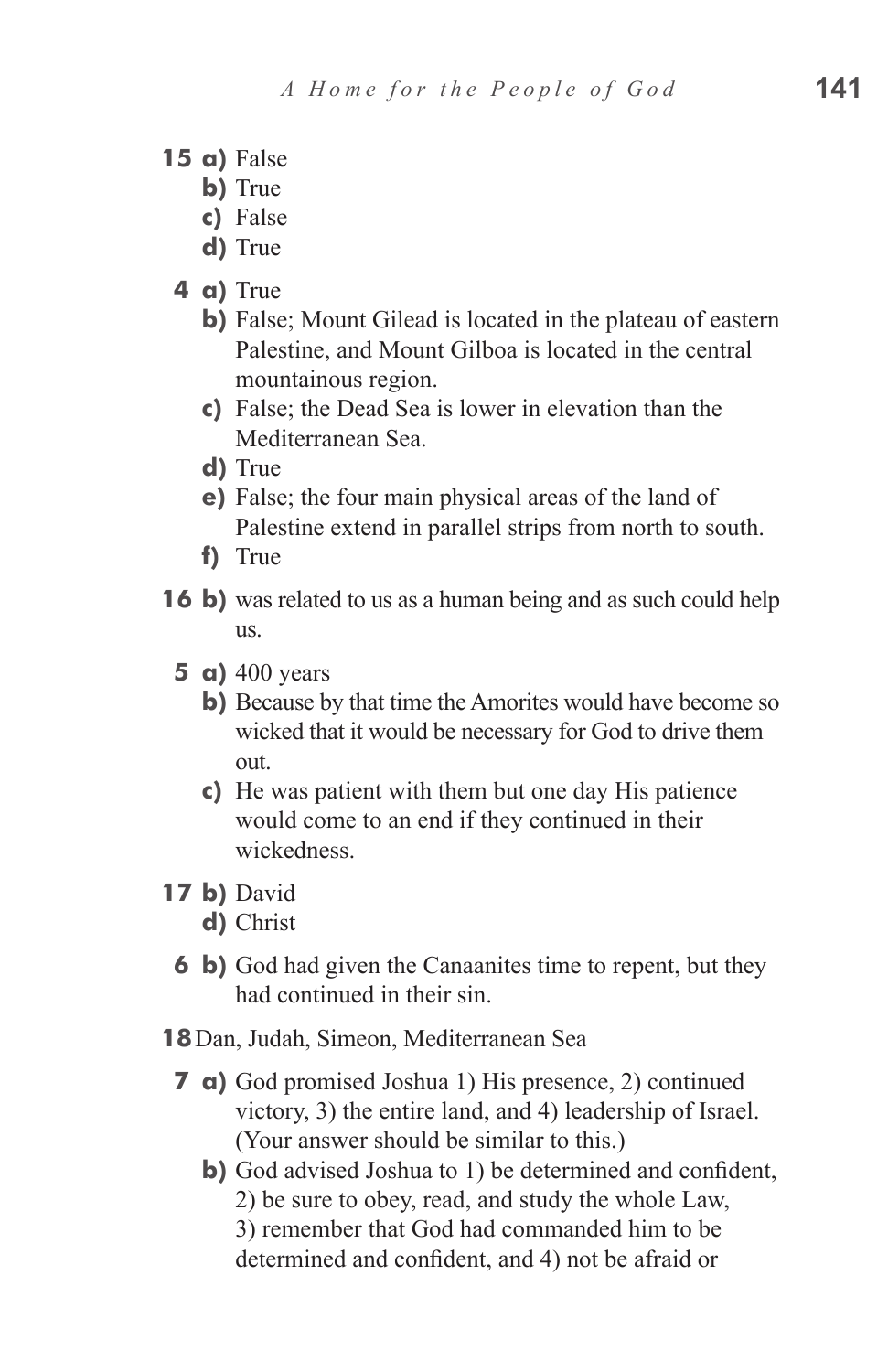- **15 a**) False
	- **b**) True
	- **c)**  False
	- **d)** True
	- **4 a)** True
		- **b**) False; Mount Gilead is located in the plateau of eastern Palestine, and Mount Gilboa is located in the central mountainous region.
		- **c)**  False; the Dead Sea is lower in elevation than the Mediterranean Sea.
		- **d)** True
		- **e**) False; the four main physical areas of the land of Palestine extend in parallel strips from north to south.
		- **f)**  True
- **16 b**) was related to us as a human being and as such could help us.
	- **5 a)** 400 years
		- **b**) Because by that time the Amorites would have become so wicked that it would be necessary for God to drive them out.
		- **c**) He was patient with them but one day His patience would come to an end if they continued in their wickedness.
- **17 b)** David
	- **d)** Christ
	- **6 b**) God had given the Canaanites time to repent, but they had continued in their sin.
- **18**Dan, Judah, Simeon, Mediterranean Sea
	- **7 a**) God promised Joshua 1) His presence, 2) continued victory, 3) the entire land, and 4) leadership of Israel. (Your answer should be similar to this.)
		- **b)** God advised Joshua to 1) be determined and confident, 2) be sure to obey, read, and study the whole Law, 3) remember that God had commanded him to be determined and confident, and 4) not be afraid or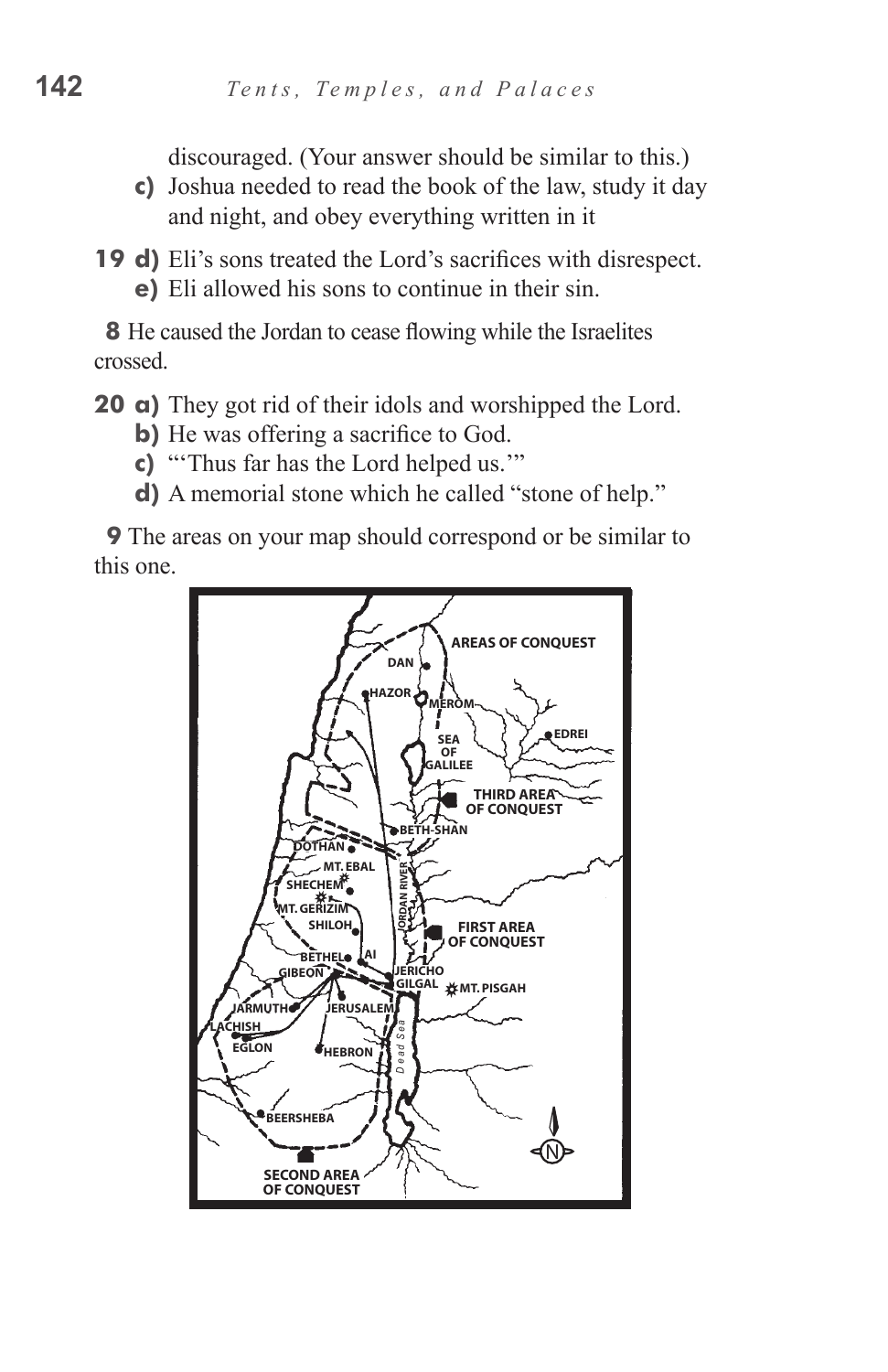discouraged. (Your answer should be similar to this.)

- **c**) Joshua needed to read the book of the law, study it day and night, and obey everything written in it
- **19 d)** Eli's sons treated the Lord's sacrifices with disrespect. **e**) Eli allowed his sons to continue in their sin.

**8** He caused the Jordan to cease flowing while the Israelites crossed.

**20 a**) They got rid of their idols and worshipped the Lord.

- **b**) He was offering a sacrifice to God.
- **c)** "Thus far has the Lord helped us."
- **d**) A memorial stone which he called "stone of help."

**9** The areas on your map should correspond or be similar to this one.